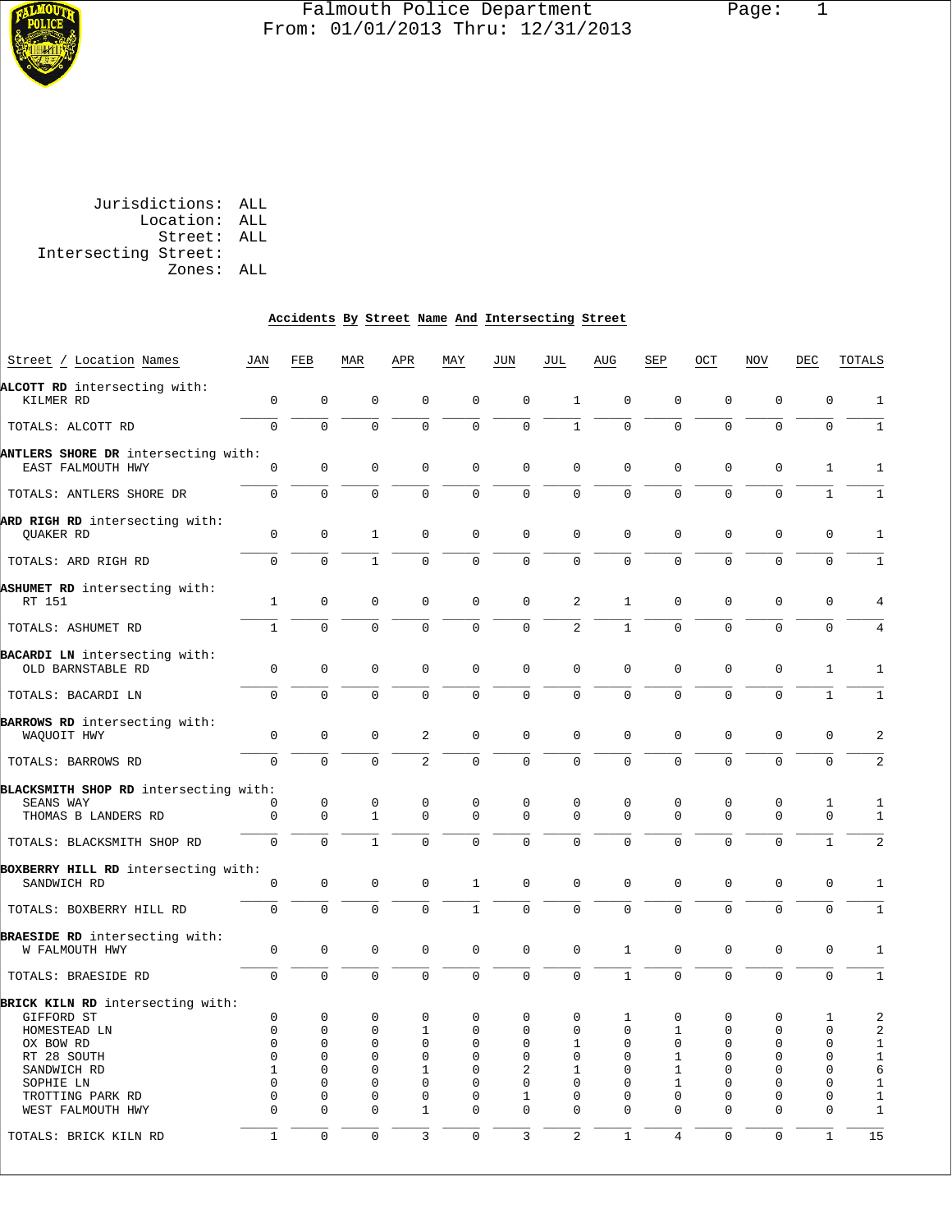

## Falmouth Police Department Page: 1 From: 01/01/2013 Thru: 12/31/2013

 Jurisdictions: ALL Location: ALL Street: ALL Intersecting Street: Zones: ALL

## **Accidents By Street Name And Intersecting Street**

| Street / Location Names                                   | JAN          | FEB          | MAR                 | APR            | MAY          | JUN            | JUL            | AUG          | SEP            | OCT         | NOV         | DEC          | TOTALS         |
|-----------------------------------------------------------|--------------|--------------|---------------------|----------------|--------------|----------------|----------------|--------------|----------------|-------------|-------------|--------------|----------------|
| ALCOTT RD intersecting with:                              |              |              |                     |                |              |                |                |              |                |             |             |              |                |
| KILMER RD                                                 | $\mathbf{0}$ | $\mathbf 0$  | $\mathbf 0$         | $\mathbf 0$    | $\mathbf 0$  | $\mathbf 0$    | 1              | $\mathbf 0$  | $\mathbf 0$    | $\mathbf 0$ | $\mathbf 0$ | 0            | 1              |
| TOTALS: ALCOTT RD                                         | $\Omega$     | $\Omega$     | $\Omega$            | $\Omega$       | $\mathbf 0$  | $\mathbf 0$    | $\mathbf{1}$   | $\Omega$     | $\Omega$       | $\mathbf 0$ | $\Omega$    | $\mathbf 0$  | 1              |
| ANTLERS SHORE DR intersecting with:                       |              |              |                     |                |              |                |                |              |                |             |             |              |                |
| EAST FALMOUTH HWY                                         | 0            | $\mathbf 0$  | $\mathbf 0$         | 0              | $\mathsf 0$  | $\mathbf 0$    | $\mathbf 0$    | $\mathbf 0$  | $\mathbf 0$    | $\mathbf 0$ | 0           | 1            | 1              |
| TOTALS: ANTLERS SHORE DR                                  | $\mathbf 0$  | $\mathbf 0$  | $\mathbf 0$         | 0              | $\mathbf 0$  | $\mathbf 0$    | $\mathbf 0$    | 0            | $\mathbf 0$    | $\mathbf 0$ | $\mathbf 0$ | $\mathbf{1}$ | $\mathbf{1}$   |
| ARD RIGH RD intersecting with:                            |              |              |                     |                |              |                |                |              |                |             |             |              |                |
| QUAKER RD                                                 | 0            | 0            | 1                   | 0              | $\mathbf 0$  | 0              | $\mathbf 0$    | 0            | 0              | 0           | $\mathbf 0$ | 0            | 1              |
| TOTALS: ARD RIGH RD                                       | $\mathbf 0$  | 0            | $\mathbf{1}$        | 0              | $\mathbf 0$  | $\mathbf 0$    | $\mathbf 0$    | 0            | $\mathbf 0$    | $\mathbf 0$ | $\mathbf 0$ | $\mathbf 0$  | $\mathbf{1}$   |
| ASHUMET RD intersecting with:                             |              |              |                     |                |              |                |                |              |                |             |             |              |                |
| RT 151                                                    | $\mathbf{1}$ | $\mathbf 0$  | $\mathbf 0$         | 0              | $\mathbf 0$  | $\mathbf 0$    | 2              | $\mathbf{1}$ | $\mathbf 0$    | $\mathbf 0$ | $\mathbf 0$ | 0            | 4              |
| TOTALS: ASHUMET RD                                        | $\mathbf{1}$ | $\mathbf 0$  | $\mathbf 0$         | 0              | $\mathbf 0$  | $\mathbf 0$    | 2              | $\mathbf 1$  | $\mathbf 0$    | $\mathbf 0$ | $\mathbf 0$ | 0            | 4              |
|                                                           |              |              |                     |                |              |                |                |              |                |             |             |              |                |
| <b>BACARDI LN</b> intersecting with:<br>OLD BARNSTABLE RD | $\mathbf 0$  | $\mathbf 0$  | $\mathbf 0$         | 0              | 0            | $\mathbf 0$    | $\mathbf 0$    | $\mathbf 0$  | $\mathbf 0$    | $\mathbf 0$ | $\mathbf 0$ | 1            | 1              |
| TOTALS: BACARDI LN                                        | $\mathbf 0$  | $\Omega$     | $\mathbf 0$         | $\Omega$       | $\mathbf 0$  | $\mathbf 0$    | $\mathbf 0$    | 0            | $\mathbf 0$    | $\Omega$    | $\Omega$    | $\mathbf{1}$ | $\mathbf{1}$   |
| BARROWS RD intersecting with:                             |              |              |                     |                |              |                |                |              |                |             |             |              |                |
| WAQUOIT HWY                                               | $\mathbf 0$  | $\mathbf 0$  | $\mathbf 0$         | 2              | $\mathbf 0$  | 0              | $\mathbf 0$    | $\mathbf 0$  | $\mathbf 0$    | $\mathbf 0$ | $\mathbf 0$ | 0            | 2              |
| TOTALS: BARROWS RD                                        | $\mathbf 0$  | $\Omega$     | $\Omega$            | $\overline{a}$ | $\mathbf 0$  | $\mathbf 0$    | $\mathbf 0$    | $\Omega$     | $\Omega$       | $\mathbf 0$ | $\mathbf 0$ | $\mathbf 0$  | 2              |
| BLACKSMITH SHOP RD intersecting with:                     |              |              |                     |                |              |                |                |              |                |             |             |              |                |
| SEANS WAY                                                 | 0            | 0            | 0                   | 0              | $\mathbf 0$  | 0              | 0              | 0            | 0              | 0           | 0           | 1            | 1              |
| THOMAS B LANDERS RD                                       | $\mathbf{0}$ | $\mathbf{0}$ | $\mathbf{1}$        | $\mathbf 0$    | $\mathbf 0$  | $\mathbf 0$    | $\Omega$       | $\Omega$     | $\mathbf 0$    | $\mathbf 0$ | $\mathbf 0$ | $\mathbf 0$  | 1              |
| TOTALS: BLACKSMITH SHOP RD                                | $\mathbf 0$  | $\mathbf 0$  | $\mathbf{1}$        | $\Omega$       | $\Omega$     | $\Omega$       | $\mathbf 0$    | 0            | $\mathbf 0$    | $\mathbf 0$ | $\mathbf 0$ | $\mathbf{1}$ | $\overline{a}$ |
| BOXBERRY HILL RD intersecting with:                       |              |              |                     |                |              |                |                |              |                |             |             |              |                |
| SANDWICH RD                                               | 0            | 0            | $\mathbf 0$         | 0              | 1            | $\mathbf 0$    | $\mathbf 0$    | 0            | $\mathbf 0$    | $\mathbf 0$ | $\mathbf 0$ | 0            | 1              |
| TOTALS: BOXBERRY HILL RD                                  | $\mathbf 0$  | $\mathbf 0$  | $\mathbf 0$         | $\mathbf 0$    | $\mathbf{1}$ | $\mathbf 0$    | $\mathbf 0$    | 0            | $\mathbf 0$    | $\mathbf 0$ | $\mathbf 0$ | $\mathbf 0$  | $\mathbf{1}$   |
|                                                           |              |              |                     |                |              |                |                |              |                |             |             |              |                |
| BRAESIDE RD intersecting with:                            |              |              |                     |                |              |                |                |              |                |             |             |              |                |
| W FALMOUTH HWY                                            | $\mathbf 0$  | 0            | $\mathbf 0$         | 0              | 0            | 0              | $\mathbf 0$    | 1            | $\mathbf 0$    | 0           | $\mathbf 0$ | 0            | 1              |
| TOTALS: BRAESIDE RD                                       | $\mathbf 0$  | $\mathbf 0$  | $\mathbf 0$         | $\mathbf 0$    | $\mathbf 0$  | $\mathbf 0$    | $\mathbf 0$    | $\mathbf{1}$ | $\mathbf 0$    | $\mathbf 0$ | $\mathbf 0$ | $\mathbf 0$  | $\mathbf{1}$   |
| BRICK KILN RD intersecting with:                          |              |              |                     |                |              |                |                |              |                |             |             |              |                |
| GIFFORD ST                                                | 0            | 0            | 0                   | 0              | 0            | 0              | 0              | 1            | 0              | 0           | 0           | 1            | 2              |
| HOMESTEAD LN                                              | $\mathbf 0$  | 0            | 0                   | 1              | 0            | 0              | $\mathbf 0$    | 0            | 1              | 0           | $\mathbf 0$ | 0            | $\overline{a}$ |
| OX BOW RD                                                 | 0            | 0            | 0                   | 0              | 0            | 0              | 1              | 0            | 0              | 0           | 0           | 0            | 1              |
| RT 28 SOUTH                                               | 0            | 0            | 0                   | 0              | $\mathbf 0$  | 0              | $\mathsf 0$    | 0            | 1              | 0           | $\mathbf 0$ | 0            | $1\,$          |
| SANDWICH RD                                               | 1            | 0            | 0                   | 1              | $\mathbf 0$  | 2              | 1              | 0            | 1              | 0           | $\mathbf 0$ | $\mathsf 0$  | 6              |
| SOPHIE LN                                                 | $\Omega$     | 0            | 0                   | 0              | $\mathbf 0$  | 0              | $\mathbf 0$    | 0            | 1              | 0           | $\mathbf 0$ | 0            | 1              |
| TROTTING PARK RD                                          | $\mathbf 0$  | 0            | 0                   | 0              | $\mathbf 0$  | 1              | $\mathbf 0$    | $\mathbf{0}$ | 0              | $\mathbf 0$ | $\mathbf 0$ | $\mathsf 0$  | $1\,$          |
| WEST FALMOUTH HWY                                         | $\Omega$     | 0            | $\mathbf 0$         | 1              | $\mathbf 0$  | 0              | $\Omega$       | $\Omega$     | $\Omega$       | 0           | $\mathbf 0$ | 0            | $\mathbf{1}$   |
| TOTALS: BRICK KILN RD                                     | $\mathbf{1}$ | $\mathsf 0$  | $\mathsf{O}\xspace$ | $\mathbf{3}$   | $\mathbf 0$  | $\overline{3}$ | $\overline{c}$ | $\mathbf{1}$ | $\overline{4}$ | $\mathsf 0$ | $\mathsf 0$ | $\mathbf{1}$ | 15             |
|                                                           |              |              |                     |                |              |                |                |              |                |             |             |              |                |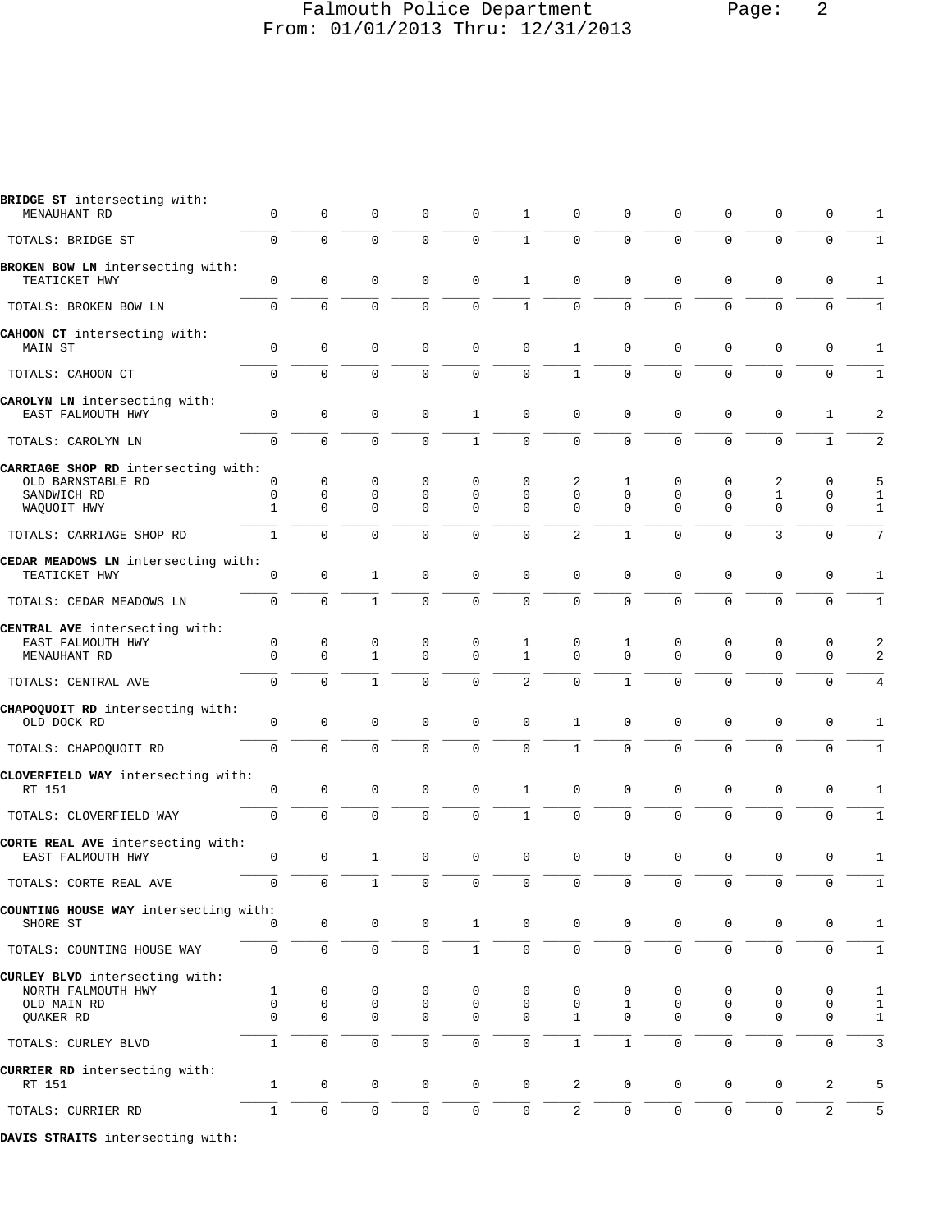## Falmouth Police Department Falmouth Police Department From: 01/01/2013 Thru: 12/31/2013

| BRIDGE SI INTELSECTING MITN.<br>MENAUHANT RD                                     | 0            | 0                     | 0                   | $\Omega$              | 0                               | 1                               | 0                                |                         |                                 | $\Omega$              | $\Omega$              | $\Omega$              | 1                            |
|----------------------------------------------------------------------------------|--------------|-----------------------|---------------------|-----------------------|---------------------------------|---------------------------------|----------------------------------|-------------------------|---------------------------------|-----------------------|-----------------------|-----------------------|------------------------------|
| TOTALS: BRIDGE ST                                                                | $\mathbf 0$  | 0                     | 0                   | 0                     | 0                               | $\mathbf{1}$                    | $\mathbf 0$                      | $\mathbf 0$             | 0                               | $\mathbf 0$           | $\mathbf{0}$          | $\mathbf 0$           | 1                            |
| BROKEN BOW LN intersecting with:<br>TEATICKET HWY                                | 0            | $\mathbf 0$           | 0                   | $\mathbf 0$           | 0                               | $\mathbf 1$                     | $\mathbf 0$                      | $\mathbf 0$             | 0                               | $\mathbf 0$           | $\mathbf{0}$          | $\mathbf 0$           | 1                            |
| TOTALS: BROKEN BOW LN                                                            | $\Omega$     | 0                     | 0                   | $\Omega$              | $\Omega$                        | $\mathbf{1}$                    | $\overline{0}$                   | $\Omega$                | $\Omega$                        | $\Omega$              | $\Omega$              | $\Omega$              | $\mathbf{1}$                 |
| CAHOON CT intersecting with:<br>MAIN ST                                          | 0            | $\mathsf 0$           | $\mathsf 0$         | 0                     | 0                               | $\mathbf 0$                     | $\mathbf{1}$                     | 0                       | 0                               | $\mathbf 0$           | 0                     | 0                     | 1                            |
| TOTALS: CAHOON CT                                                                | 0            | 0                     | 0                   | $\mathbf 0$           | 0                               | $\mathbf 0$                     | $\mathbf{1}$                     | $\mathbf 0$             | $\mathbf 0$                     | $\mathbf 0$           | $\mathbf 0$           | $\mathbf 0$           | $1\,$                        |
| CAROLYN LN intersecting with:<br>EAST FALMOUTH HWY                               | 0            | 0                     | 0                   | $\mathbf 0$           | 1                               | $\mathbf 0$                     | $\mathbf 0$                      | $\mathbf 0$             | 0                               | $\mathbf 0$           | 0                     | 1                     | 2                            |
| TOTALS: CAROLYN LN                                                               | $\Omega$     | 0                     | 0                   | $\mathbf 0$           | $\mathbf{1}$                    | $\mathbf 0$                     | $\overline{0}$                   | $\mathbf 0$             | 0                               | $\mathbf 0$           | $\mathbf 0$           | $\mathbf{1}$          | 2                            |
| CARRIAGE SHOP RD intersecting with:<br>OLD BARNSTABLE RD                         | 0            | 0                     | 0                   | 0                     | 0                               | 0                               | 2                                | 1                       | 0                               | 0                     | 2                     | 0                     | 5                            |
| SANDWICH RD<br>WAQUOIT HWY                                                       | 0<br>1       | 0<br>0                | 0<br>0              | 0<br>$\Omega$         | 0<br>0                          | 0<br>0                          | $\mathbf 0$<br>$\Omega$          | $\mathbf 0$<br>$\Omega$ | $\mathbf 0$<br>$\Omega$         | 0<br>$\Omega$         | 1<br>$\Omega$         | 0<br>$\mathbf 0$      | $\mathbf{1}$<br>$\mathbf{1}$ |
| TOTALS: CARRIAGE SHOP RD                                                         | $\mathbf{1}$ | 0                     | 0                   | $\Omega$              | $\Omega$                        | $\mathbf 0$                     | $\overline{2}$                   | $\mathbf{1}$            | 0                               | $\mathbf 0$           | 3                     | $\mathbf 0$           | 7                            |
| CEDAR MEADOWS LN intersecting with:<br>TEATICKET HWY                             | 0            | $\mathsf 0$           | $\mathbf{1}$        | 0                     | 0                               | $\mathbf 0$                     | $\mathbf 0$                      | $\mathbf 0$             | 0                               | $\mathbf 0$           | 0                     | $\mathbf 0$           | 1                            |
| TOTALS: CEDAR MEADOWS LN                                                         | 0            | $\mathbf{0}$          | $\mathbf{1}$        | $\mathbf 0$           | 0                               | $\mathbf 0$                     | $\mathbf 0$                      | $\mathbf 0$             | $\mathbf 0$                     | $\mathbf 0$           | $\mathbf{0}$          | $\mathbf 0$           | 1                            |
| CENTRAL AVE intersecting with:<br>EAST FALMOUTH HWY<br>MENAUHANT RD              | 0<br>0       | 0<br>0                | 0<br>$\mathbf{1}$   | 0<br>$\mathbf 0$      | 0<br>0                          | 1<br>$\mathbf{1}$               | 0<br>$\mathbf 0$                 | 1<br>$\mathbf{0}$       | 0<br>$\mathbf 0$                | 0<br>$\mathbf 0$      | 0<br>$\mathbf{0}$     | 0<br>0                | 2<br>2                       |
| TOTALS: CENTRAL AVE                                                              | 0            | $\Omega$              | $\mathbf{1}$        | $\mathbf 0$           | 0                               | 2                               | $\overline{0}$                   | $\mathbf{1}$            | 0                               | $\Omega$              | $\mathbf{0}$          | $\mathbf 0$           | $\overline{4}$               |
| CHAPOQUOIT RD intersecting with:<br>OLD DOCK RD                                  | 0            | $\mathsf 0$           | $\mathsf 0$         | $\mathbf 0$           | 0                               | $\mathbf 0$                     | 1                                | $\mathbf 0$             | 0                               | $\mathbf 0$           | 0                     | $\mathbf 0$           | 1                            |
| TOTALS: CHAPOQUOIT RD                                                            | 0            | $\mathbf 0$           | 0                   | $\mathbf 0$           | 0                               | $\mathbf 0$                     | 1                                | $\mathbf 0$             | 0                               | $\mathbf 0$           | $\mathbf{0}$          | $\mathbf 0$           | $1\,$                        |
| CLOVERFIELD WAY intersecting with:<br>RT 151                                     | 0            | 0                     | 0                   | 0                     | 0                               | 1                               | 0                                | $\mathbf 0$             | 0                               | 0                     | $\mathbf 0$           | 0                     | 1                            |
| TOTALS: CLOVERFIELD WAY                                                          | $\Omega$     | $\Omega$              | $\overline{0}$      | 0                     | 0                               | $\mathbf{1}$                    | $\mathbf 0$                      | $\mathbf 0$             | $\mathbf 0$                     | $\mathbf 0$           | $\mathbf 0$           | $\mathbf 0$           | $1\,$                        |
| CORTE REAL AVE intersecting with:<br>EAST FALMOUTH HWY                           | 0            | 0                     | $\mathbf{1}$        | $\mathbf 0$           | 0                               | 0                               | $\mathbf 0$                      | $\mathbf{0}$            | 0                               | $\mathbf 0$           | $\mathbf{0}$          | $\mathbf 0$           | 1                            |
| TOTALS: CORTE REAL AVE                                                           | $\mathbf 0$  | $\mathbf 0$           | $\mathbf{1}$        | $\Omega$              | $\mathbf 0$                     | $\mathbf 0$                     | $\mathbf 0$                      | $\mathbf 0$             | 0                               | $\mathbf 0$           | $\mathbf{0}$          | $\mathbf 0$           | $\mathbf{1}$                 |
| COUNTING HOUSE WAY intersecting with:<br>SHORE ST                                | $\Omega$     | 0                     | 0                   | 0                     | 1                               | $\mathbf 0$                     | $\mathbf 0$                      | $\mathbf 0$             | 0                               | 0                     | $\mathbf 0$           | $\mathbf 0$           | 1                            |
| TOTALS: COUNTING HOUSE WAY                                                       | 0            | $\mathbf 0$           | $\mathsf 0$         | $\mathbf 0$           | $\mathbf{1}$                    | $\mathsf{O}\xspace$             | $\mathsf 0$                      | $\mathbf 0$             | $\mathbf 0$                     | $\mathbf 0$           | $\mathsf{O}$          | $\mathbf 0$           | $\mathbf{1}$                 |
| CURLEY BLVD intersecting with:<br>NORTH FALMOUTH HWY<br>OLD MAIN RD<br>QUAKER RD | 1<br>0<br>0  | 0<br>$\mathbf 0$<br>0 | 0<br>0<br>0         | 0<br>$\mathbf 0$<br>0 | 0<br>$\mathsf 0$<br>$\mathsf 0$ | 0<br>$\mathbf 0$<br>$\mathbf 0$ | 0<br>$\mathsf 0$<br>$\mathbf{1}$ | 0<br>1<br>$\mathbf 0$   | 0<br>$\mathsf 0$<br>$\mathbf 0$ | 0<br>0<br>$\mathbf 0$ | 0<br>0<br>$\mathsf 0$ | 0<br>$\mathbf 0$<br>0 | 1<br>$\mathbf{1}$<br>1       |
| TOTALS: CURLEY BLVD                                                              | $\mathbf{1}$ | $\mathbf 0$           | 0                   | $\mathbf 0$           | 0                               | $\mathbf 0$                     | $1\,$                            | $\mathbf{1}$            | 0                               | $\mathbf 0$           | $\mathbf 0$           | $\mathbf 0$           | 3                            |
| CURRIER RD intersecting with:                                                    |              |                       |                     |                       |                                 |                                 |                                  |                         |                                 |                       |                       |                       |                              |
| RT 151                                                                           | $\mathbf{1}$ | $\mathsf{O}\xspace$   | 0                   | 0                     | $\mathsf{0}$                    | $\mathsf{O}\xspace$             | 2                                | $\mathbf 0$             | 0                               | 0                     | 0                     | 2                     | 5                            |
| TOTALS: CURRIER RD                                                               | $\mathbf{1}$ | $\mathsf{O}\xspace$   | $\mathsf{O}\xspace$ | 0                     | 0                               | $\mathsf{O}\xspace$             | $\overline{c}$                   | 0                       | 0                               | 0                     | 0                     | 2                     | 5                            |

**DAVIS STRAITS** intersecting with:

**BRIDGE ST** intersecting with: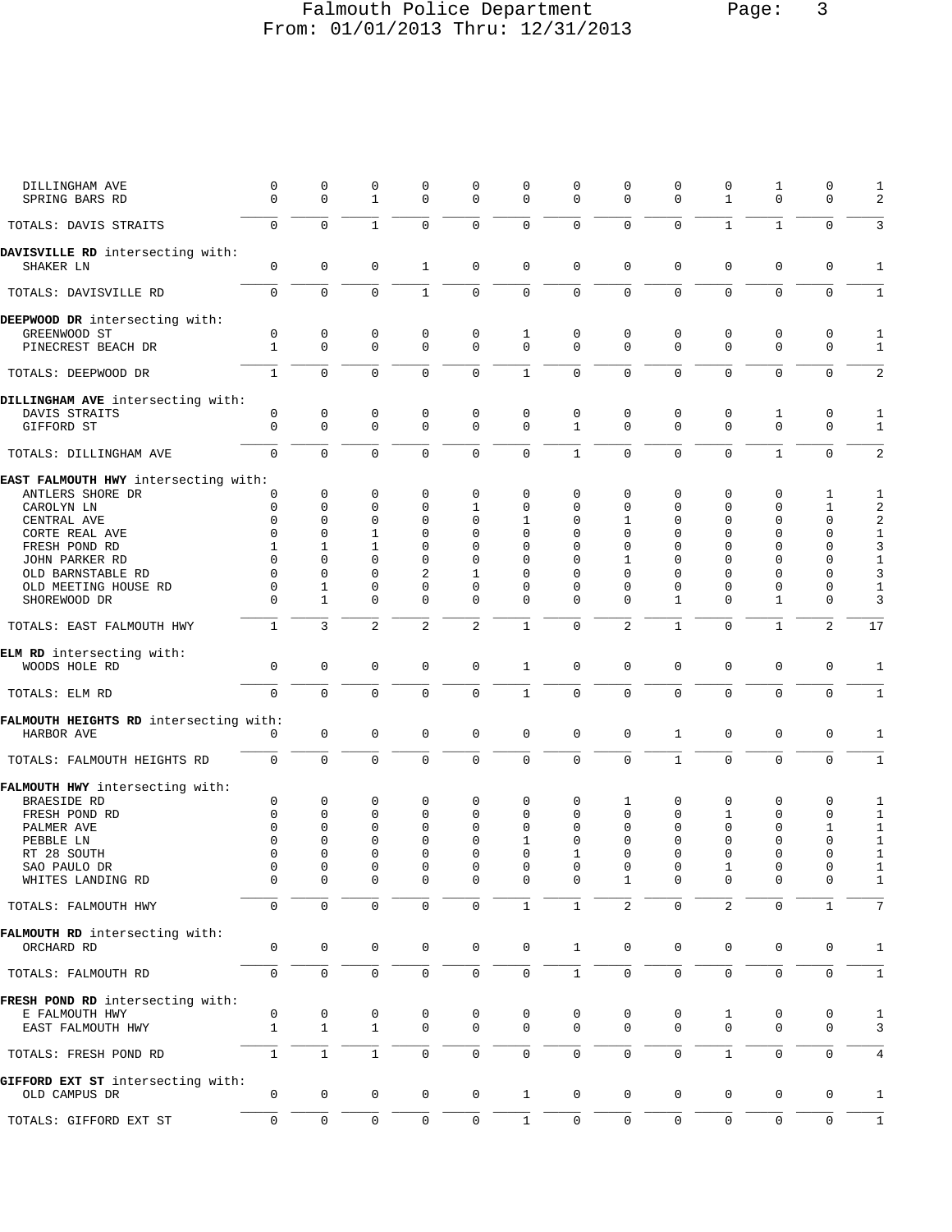## Falmouth Police Department Page: 3 From: 01/01/2013 Thru: 12/31/2013

| DILLINGHAM AVE<br>SPRING BARS RD                   | 0<br>$\Omega$     | 0<br>0           | 0<br>$\mathbf{1}$ | $\mathbf 0$<br>$\Omega$ | 0<br>0           | $\mathbf 0$<br>$\mathbf 0$ | $\mathbf 0$<br>$\mathbf{0}$ | 0<br>$\Omega$  | $\mathbf 0$<br>$\Omega$ | $\mathsf 0$<br>$\mathbf{1}$ | $\mathbf{1}$<br>$\mathbf{0}$ | $\mathbf 0$<br>$\mathbf 0$ | 1<br>2            |
|----------------------------------------------------|-------------------|------------------|-------------------|-------------------------|------------------|----------------------------|-----------------------------|----------------|-------------------------|-----------------------------|------------------------------|----------------------------|-------------------|
| TOTALS: DAVIS STRAITS                              | 0                 | $\Omega$         | $\mathbf{1}$      | $\Omega$                | $\mathbf 0$      | $\mathbf 0$                | $\mathbf 0$                 | $\Omega$       | $\mathbf 0$             | $\mathbf{1}$                | $\mathbf{1}$                 | $\mathbf 0$                | 3                 |
| DAVISVILLE RD intersecting with:<br>SHAKER LN      | 0                 | 0                | 0                 | $\mathbf{1}$            | 0                | $\mathsf 0$                | $\mathbf 0$                 | $\mathbf 0$    | $\mathbf 0$             | $\mathbf 0$                 | $\mathbf 0$                  | $\mathbf 0$                | 1                 |
| TOTALS: DAVISVILLE RD                              | 0                 | $\mathbf 0$      | $\mathbf 0$       | $\mathbf{1}$            | 0                | $\mathsf 0$                | $\mathbf 0$                 | 0              | $\mathbf 0$             | $\mathbf 0$                 | $\mathbf 0$                  | $\mathbf 0$                | $\mathbf{1}$      |
| DEEPWOOD DR intersecting with:                     |                   |                  |                   |                         |                  |                            |                             |                |                         |                             |                              |                            |                   |
| GREENWOOD ST<br>PINECREST BEACH DR                 | 0<br>$\mathbf{1}$ | 0<br>$\mathbf 0$ | 0<br>$\mathbf 0$  | 0<br>$\Omega$           | 0<br>$\mathbf 0$ | 1<br>$\mathbf 0$           | 0<br>$\mathbf 0$            | 0<br>$\Omega$  | 0<br>$\Omega$           | 0<br>$\mathbf 0$            | 0<br>$\mathbf 0$             | 0<br>$\mathbf 0$           | 1<br>$\mathbf{1}$ |
| TOTALS: DEEPWOOD DR                                | $\mathbf{1}$      | $\mathbf 0$      | $\mathbf 0$       | $\Omega$                | $\mathbf 0$      | $\mathbf{1}$               | $\mathbf{0}$                | $\Omega$       | $\Omega$                | $\mathbf 0$                 | $\mathbf 0$                  | $\Omega$                   | $\overline{2}$    |
| DILLINGHAM AVE intersecting with:                  |                   |                  |                   |                         |                  |                            |                             |                |                         |                             |                              |                            |                   |
| DAVIS STRAITS<br>GIFFORD ST                        | 0<br>0            | 0<br>$\mathbf 0$ | 0<br>$\mathbf 0$  | 0<br>$\mathbf 0$        | 0<br>$\mathbf 0$ | $\mathsf 0$<br>$\mathbf 0$ | 0<br>$\mathbf{1}$           | 0<br>$\Omega$  | 0<br>$\Omega$           | 0<br>$\Omega$               | 1<br>$\Omega$                | 0<br>$\mathbf 0$           | 1<br>$\mathbf{1}$ |
| TOTALS: DILLINGHAM AVE                             | 0                 | $\Omega$         | 0                 | $\Omega$                | $\mathbf 0$      | $\mathbf 0$                | $\mathbf{1}$                | $\Omega$       | $\mathbf 0$             | $\Omega$                    | $\mathbf{1}$                 | $\Omega$                   | $\overline{2}$    |
| EAST FALMOUTH HWY intersecting with:               |                   |                  |                   |                         |                  |                            |                             |                |                         |                             |                              |                            |                   |
| ANTLERS SHORE DR                                   | 0                 | 0                | 0                 | 0                       | 0                | $\mathbf 0$                | $\mathbf 0$                 | 0              | 0                       | $\mathbf 0$                 | $\mathbf{0}$                 | 1                          | 1                 |
| CAROLYN LN                                         | 0                 | 0                | 0                 | 0                       | 1                | $\mathbf 0$                | $\mathbf 0$                 | 0              | $\mathbf 0$             | $\mathbf 0$                 | $\mathbf{0}$                 | $\mathbf{1}$               | 2                 |
| CENTRAL AVE                                        | 0                 | $\Omega$         | 0                 | $\Omega$                | $\Omega$         | 1                          | $\mathbf 0$                 | 1              | $\Omega$                | $\Omega$                    | $\mathbf{0}$                 | $\mathbf 0$                | 2                 |
| CORTE REAL AVE                                     | $\Omega$          | 0                | $\mathbf{1}$      | $\Omega$                | $\Omega$         | 0                          | $\mathbf 0$                 | $\Omega$       | $\Omega$                | $\Omega$                    | $\mathbf{0}$                 | $\mathbf 0$                | $\mathbf{1}$      |
| FRESH POND RD                                      | 1                 | 1                | 1                 | $\Omega$                | $\Omega$         | $\Omega$                   | $\Omega$                    | $\Omega$       | $\Omega$                | $\Omega$                    | $\Omega$                     | 0                          | 3                 |
| JOHN PARKER RD                                     | $\Omega$          | $\Omega$         | $\Omega$          | $\Omega$                | $\Omega$         | $\Omega$                   | $\Omega$                    | 1              | $\Omega$                | $\Omega$                    | $\Omega$                     | $\mathbf 0$                | $\,1$             |
| OLD BARNSTABLE RD                                  | $\Omega$          | 0                | $\Omega$          | $\overline{2}$          | 1                | $\Omega$                   | $\Omega$                    | $\Omega$       | $\Omega$                | $\Omega$                    | $\Omega$                     | $\Omega$                   | 3                 |
| OLD MEETING HOUSE RD                               | 0                 | 1                | 0                 | $\mathbf 0$             | 0                | 0                          | 0                           | 0              | 0                       | $\Omega$                    | 0                            | 0                          | $1\,$             |
| SHOREWOOD DR                                       | $\Omega$          | $\mathbf{1}$     | $\Omega$          | $\Omega$                | $\Omega$         | $\Omega$                   | $\Omega$                    | $\Omega$       | $\mathbf{1}$            | $\Omega$                    | $\mathbf{1}$                 | $\Omega$                   | 3                 |
| TOTALS: EAST FALMOUTH HWY                          | $\mathbf{1}$      | 3                | $\overline{2}$    | $\overline{a}$          | $\overline{2}$   | $\mathbf{1}$               | $\mathbf{0}$                | 2              | $\mathbf{1}$            | $\mathbf 0$                 | $\mathbf{1}$                 | 2                          | 17                |
| ELM RD intersecting with:                          |                   |                  |                   |                         |                  |                            |                             |                |                         |                             |                              |                            |                   |
| WOODS HOLE RD                                      | 0                 | 0                | $\mathbf 0$       | $\mathbf 0$             | 0                | $\mathbf{1}$               | $\mathbf{0}$                | $\mathbf 0$    | $\mathbf 0$             | $\mathbf 0$                 | $\mathbf{0}$                 | $\mathbf 0$                | 1                 |
| TOTALS: ELM RD                                     | $\Omega$          | $\Omega$         | $\Omega$          | $\Omega$                | $\overline{0}$   | $\mathbf{1}$               | $\mathbf 0$                 | $\Omega$       | $\Omega$                | $\mathbf 0$                 | $\mathbf 0$                  | $\mathbf 0$                | $\mathbf{1}$      |
| FALMOUTH HEIGHTS RD intersecting with:             |                   |                  |                   |                         |                  |                            |                             |                |                         |                             |                              |                            |                   |
| HARBOR AVE                                         | 0                 | 0                | 0                 | $\mathbf 0$             | 0                | $\mathbf 0$                | $\mathbf 0$                 | $\mathbf 0$    | $\mathbf 1$             | 0                           | $\mathsf 0$                  | $\mathbf 0$                | 1                 |
| TOTALS: FALMOUTH HEIGHTS RD                        | 0                 | $\mathbf 0$      | $\mathbf 0$       | $\mathbf 0$             | 0                | $\mathbf 0$                | $\mathbf{0}$                | 0              | $\mathbf{1}$            | $\mathbf 0$                 | $\mathbf 0$                  | $\mathbf 0$                | $\mathbf{1}$      |
| FALMOUTH HWY intersecting with:                    |                   |                  |                   |                         |                  |                            |                             |                |                         |                             |                              |                            |                   |
| BRAESIDE RD                                        | 0                 | 0                | 0                 | 0                       | 0                | 0                          | 0                           | 1              | 0                       | 0                           | 0                            | 0                          | 1                 |
| FRESH POND RD                                      | 0                 | 0                | 0                 | $\Omega$                | 0                | $\mathbf 0$                | $\mathbf 0$                 | $\Omega$       | $\mathbf 0$             | $\mathbf{1}$                | $\mathbf{0}$                 | $\mathbf 0$                | $\mathbf{1}$      |
| PALMER AVE                                         | $\Omega$          | $\Omega$         | 0                 | 0                       | $\Omega$         | 0                          | $\mathbf 0$                 | $\Omega$       | $\Omega$                | $\Omega$                    | $\mathbf 0$                  | 1                          | $\mathbf{1}$      |
| PEBBLE LN                                          | O                 | $\Omega$         | 0                 | $\mathbf 0$             | $\Omega$         | 1                          | $\Omega$                    | $\Omega$       | $\Omega$                | $\Omega$                    | $\mathbf{0}$                 | $\mathbf 0$                | $\mathbf{1}$      |
| RT 28 SOUTH                                        | U                 | $\Omega$         | $\Omega$          | $\Omega$                | $\Omega$         | $\Omega$                   | 1                           | $\Omega$       | $\Omega$                | $\Omega$                    | $\Omega$                     | $\Omega$                   | $\,1\,$           |
| SAO PAULO DR<br>WHITES LANDING RD                  | $\Omega$          | $\Omega$         | 0<br>0            | 0<br>0                  | 0<br>0           | 0<br>$\Omega$              | $\mathbf 0$<br>$\Omega$     | $\Omega$       | $\Omega$                | 1                           | $\mathbf 0$<br>0             | 0                          | $\mathbf 1$<br>1  |
| TOTALS: FALMOUTH HWY                               | 0                 | $\Omega$         | $\mathbf 0$       | $\mathbf 0$             | $\mathbf 0$      | $\mathbf{1}$               | $\mathbf{1}$                | $\overline{a}$ | $\mathbf 0$             | $\overline{a}$              | $\mathbf 0$                  | $\mathbf{1}$               | 7                 |
| FALMOUTH RD intersecting with:                     |                   |                  |                   |                         |                  |                            |                             |                |                         |                             |                              |                            |                   |
| ORCHARD RD                                         | 0                 | 0                | $\mathbf 0$       | $\mathbf 0$             | $\mathsf 0$      | $\mathsf 0$                | $\mathbf{1}$                | 0              | 0                       | $\mathbf 0$                 | $\mathbf{0}$                 | 0                          | 1                 |
| TOTALS: FALMOUTH RD                                | 0                 | 0                | 0                 | $\mathbf 0$             | 0                | $\mathsf 0$                | $\mathbf{1}$                | 0              | $\mathbf 0$             | $\mathbf 0$                 | $\mathbf 0$                  | $\mathbf 0$                | $\mathbf{1}$      |
| FRESH POND RD intersecting with:                   |                   |                  |                   |                         |                  |                            |                             |                |                         |                             |                              |                            |                   |
| E FALMOUTH HWY                                     | 0                 | 0                | 0                 | 0                       | 0                | 0                          | 0                           | 0              | 0                       | 1                           | 0                            | 0                          | 1                 |
| EAST FALMOUTH HWY                                  | $\mathbf{1}$      | 1                | 1                 | $\mathbf 0$             | 0                | $\mathbf 0$                | $\mathbf 0$                 | $\Omega$       | $\Omega$                | 0                           | $\mathbf 0$                  | $\mathbf 0$                | 3                 |
| TOTALS: FRESH POND RD                              | $\mathbf{1}$      | $\mathbf{1}$     | $\mathbf{1}$      | $\mathbf 0$             | 0                | $\mathbf 0$                | $\mathbf{0}$                | 0              | $\mathbf 0$             | $\mathbf{1}$                | $\mathbf{0}$                 | $\mathbf 0$                | 4                 |
| GIFFORD EXT ST intersecting with:<br>OLD CAMPUS DR | 0                 | 0                | 0                 | 0                       | 0                | $\mathbf{1}$               | 0                           | $\mathbf 0$    | 0                       | 0                           | $\mathbf 0$                  | 0                          | 1                 |
|                                                    |                   |                  |                   |                         |                  |                            |                             |                |                         |                             |                              |                            |                   |
| TOTALS: GIFFORD EXT ST                             | 0                 | 0                | $\mathbf 0$       | 0                       | 0                | $\mathbf{1}$               | $\mathbf 0$                 | $\mathbf 0$    | 0                       | 0                           | $\mathbf 0$                  | 0                          | 1                 |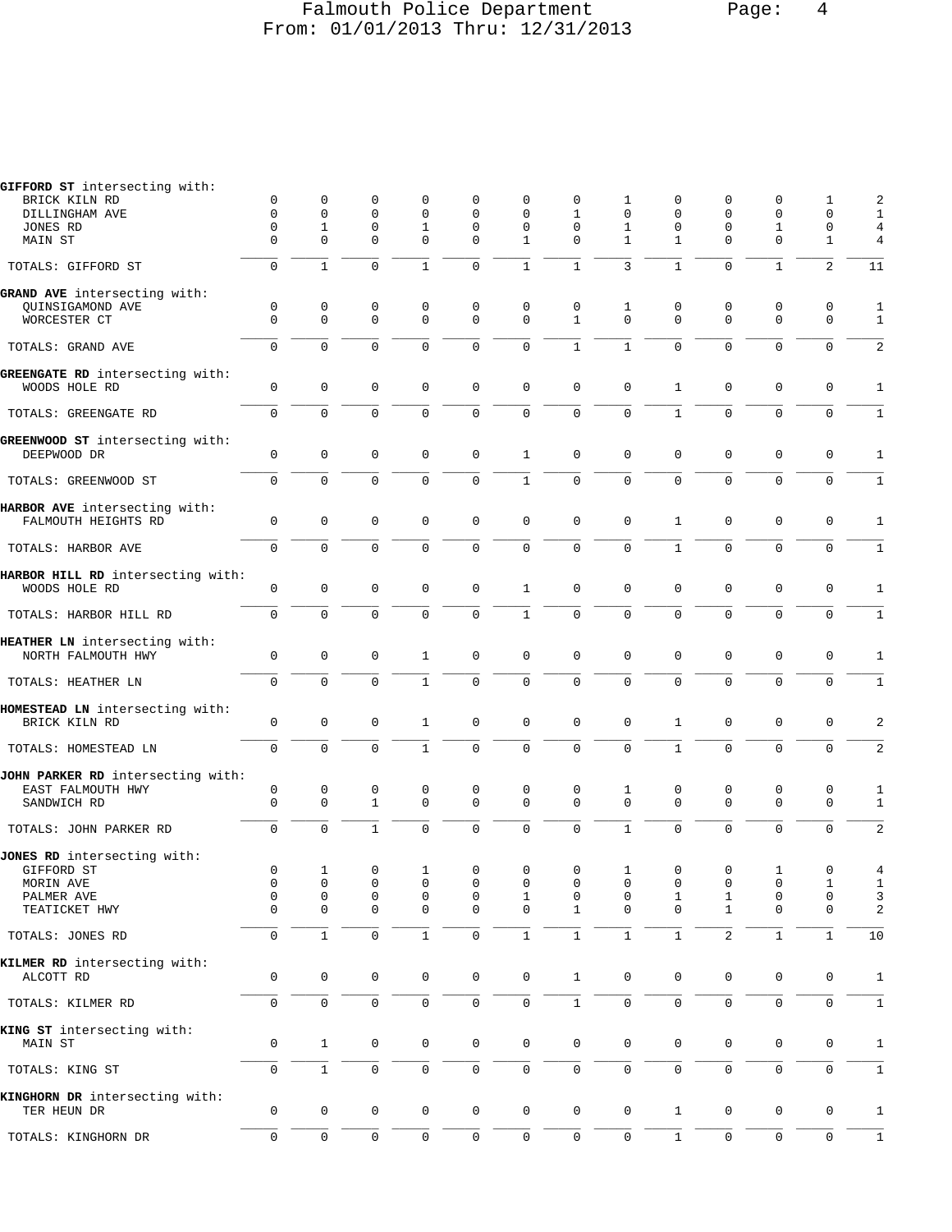# Falmouth Police Department Page: 4 From: 01/01/2013 Thru: 12/31/2013

| GIFFORD ST intersecting with:     |                  |              |                  |                  |                  |              |                     |                  |                  |                     |                             |                     |                              |
|-----------------------------------|------------------|--------------|------------------|------------------|------------------|--------------|---------------------|------------------|------------------|---------------------|-----------------------------|---------------------|------------------------------|
| BRICK KILN RD                     | 0                | 0            | 0<br>$\mathbf 0$ | $\mathbf 0$      | $\Omega$         | $\Omega$     | 0                   | 1                | 0                | $\mathbf 0$         | 0                           | 1                   | 2                            |
| DILLINGHAM AVE<br>JONES RD        | 0<br>0           | 0<br>1       | 0                | $\mathbf 0$<br>1 | 0<br>0           | 0<br>0       | 1<br>$\mathbf 0$    | 0<br>1           | 0<br>0           | 0<br>0              | $\mathbf 0$<br>$\mathbf{1}$ | 0<br>0              | 1<br>4                       |
| MAIN ST                           | $\Omega$         | $\Omega$     | $\mathbf 0$      | $\Omega$         | $\Omega$         | $\mathbf{1}$ | $\Omega$            | $\mathbf{1}$     | $\mathbf{1}$     | $\mathbf 0$         | $\mathbf 0$                 | $\mathbf{1}$        | $\overline{4}$               |
| TOTALS: GIFFORD ST                | 0                | $\mathbf{1}$ | $\overline{0}$   | $\mathbf{1}$     | 0                | $\mathbf{1}$ | $\mathbf{1}$        | 3                | $\mathbf{1}$     | $\mathbf 0$         | $\mathbf{1}$                | $\overline{2}$      | 11                           |
| GRAND AVE intersecting with:      |                  |              |                  |                  |                  |              |                     |                  |                  |                     |                             |                     |                              |
| QUINSIGAMOND AVE                  | 0                | 0            | 0                | 0                | 0                | 0            | 0                   | 1                | 0                | 0                   | 0                           | 0                   | $\mathbf{1}$                 |
| WORCESTER CT                      | $\mathbf 0$      | 0            | $\mathbf 0$      | $\mathbf 0$      | $\mathbf 0$      | $\mathbf 0$  | $\mathbf{1}$        | $\Omega$         | $\mathbf 0$      | $\mathbf 0$         | $\mathbf 0$                 | $\mathbf 0$         | $\mathbf{1}$                 |
| TOTALS: GRAND AVE                 | $\mathbf 0$      | $\Omega$     | $\mathbf 0$      | $\mathbf 0$      | 0                | $\mathbf 0$  | $\mathbf{1}$        | $\mathbf{1}$     | $\mathbf 0$      | $\mathbf 0$         | $\mathbf 0$                 | $\mathbf 0$         | 2                            |
| GREENGATE RD intersecting with:   |                  |              |                  |                  |                  |              |                     |                  |                  |                     |                             |                     |                              |
| WOODS HOLE RD                     | $\mathbf 0$      | $\mathsf 0$  | $\mathbf 0$      | $\mathbf 0$      | 0                | $\mathbf 0$  | $\mathbf 0$         | $\mathbf 0$      | $\mathbf{1}$     | $\mathbf 0$         | $\mathbf 0$                 | $\mathbf 0$         | $\mathbf{1}$                 |
| TOTALS: GREENGATE RD              | 0                | 0            | 0                | 0                | 0                | 0            | $\mathsf 0$         | 0                | $\mathbf 1$      | $\mathbf 0$         | $\mathbf 0$                 | 0                   | $\mathbf{1}$                 |
| GREENWOOD ST intersecting with:   |                  |              |                  |                  |                  |              |                     |                  |                  |                     |                             |                     |                              |
| DEEPWOOD DR                       | $\mathbf 0$      | $\mathbf 0$  | $\mathbf 0$      | $\mathbf 0$      | 0                | $\mathbf{1}$ | $\mathbf 0$         | $\mathbf 0$      | $\mathbf 0$      | $\mathbf 0$         | $\mathbf 0$                 | $\mathbf 0$         | $\mathbf{1}$                 |
| TOTALS: GREENWOOD ST              | 0                | 0            | $\mathbf 0$      | 0                | 0                | $\mathbf{1}$ | $\mathsf 0$         | $\mathbf 0$      | $\mathbf 0$      | $\mathbf 0$         | $\mathbf 0$                 | $\mathbf 0$         | $\mathbf{1}$                 |
| HARBOR AVE intersecting with:     |                  |              |                  |                  |                  |              |                     |                  |                  |                     |                             |                     |                              |
| FALMOUTH HEIGHTS RD               | $\mathbf 0$      | 0            | $\mathsf 0$      | $\mathbf 0$      | $\mathbf 0$      | $\mathsf 0$  | $\mathbf 0$         | $\mathbf 0$      | $\mathbf{1}$     | $\mathbf 0$         | $\mathbf 0$                 | 0                   | 1                            |
| TOTALS: HARBOR AVE                | $\mathbf 0$      | $\Omega$     | $\mathbf 0$      | $\mathbf 0$      | $\mathbf 0$      | $\mathbf 0$  | $\mathbf 0$         | $\Omega$         | $\mathbf{1}$     | $\Omega$            | $\mathbf 0$                 | $\mathbf 0$         | $\mathbf{1}$                 |
| HARBOR HILL RD intersecting with: |                  |              |                  |                  |                  |              |                     |                  |                  |                     |                             |                     |                              |
| WOODS HOLE RD                     | $\mathbf 0$      | 0            | $\mathsf 0$      | $\mathbf 0$      | 0                | $\mathbf 1$  | $\mathbf 0$         | $\mathbf 0$      | $\mathsf 0$      | $\mathbf 0$         | $\mathbf 0$                 | $\mathbf 0$         | $\mathbf{1}$                 |
| TOTALS: HARBOR HILL RD            | $\mathbf 0$      | 0            | 0                | $\mathbf 0$      | $\mathsf 0$      | $\mathbf{1}$ | $\mathsf 0$         | 0                | $\mathbf 0$      | $\mathsf{O}\xspace$ | $\mathbf 0$                 | $\mathbf 0$         | $\mathbf{1}$                 |
| HEATHER LN intersecting with:     |                  |              |                  |                  |                  |              |                     |                  |                  |                     |                             |                     |                              |
| NORTH FALMOUTH HWY                | 0                | $\mathsf 0$  | $\mathsf 0$      | $\mathbf{1}$     | 0                | 0            | $\mathbf 0$         | $\mathbf 0$      | 0                | $\mathbf 0$         | $\mathbf 0$                 | $\mathbf 0$         | 1                            |
| TOTALS: HEATHER LN                | $\mathbf 0$      | $\Omega$     | $\Omega$         | $\mathbf{1}$     | 0                | $\mathbf 0$  | $\mathbf 0$         | 0                | $\mathbf 0$      | $\mathbf 0$         | $\mathbf 0$                 | $\mathbf 0$         | $\mathbf{1}$                 |
| HOMESTEAD LN intersecting with:   |                  |              |                  |                  |                  |              |                     |                  |                  |                     |                             |                     |                              |
| BRICK KILN RD                     | $\mathbf 0$      | $\mathsf 0$  | $\mathsf 0$      | $\mathbf{1}$     | 0                | 0            | $\mathsf 0$         | $\mathbf 0$      | $\mathbf{1}$     | $\mathbf 0$         | $\mathbf 0$                 | $\mathbf 0$         | 2                            |
| TOTALS: HOMESTEAD LN              | $\mathbf 0$      | 0            | $\mathbf 0$      | $\mathbf{1}$     | 0                | $\mathbf 0$  | $\mathbf 0$         | 0                | $\mathbf{1}$     | $\mathbf 0$         | $\mathbf 0$                 | $\mathbf 0$         | 2                            |
| JOHN PARKER RD intersecting with: |                  |              |                  |                  |                  |              |                     |                  |                  |                     |                             |                     |                              |
| EAST FALMOUTH HWY                 | 0                | 0            | 0                | 0                | 0                | $\mathsf 0$  | 0                   | 1                | 0                | 0                   | 0                           | 0                   | 1                            |
| SANDWICH RD                       | $\mathbf 0$      | $\mathbf 0$  | $\mathbf{1}$     | $\mathbf 0$      | 0                | $\mathbf 0$  | $\Omega$            | $\Omega$         | $\Omega$         | $\Omega$            | $\mathbf 0$                 | $\mathbf 0$         | $\mathbf{1}$                 |
| TOTALS: JOHN PARKER RD            | $\mathbf 0$      | 0            | $\mathbf{1}$     | $\mathbf 0$      | 0                | $\mathbf 0$  | $\mathbf 0$         | $\mathbf{1}$     | $\mathbf 0$      | $\mathbf 0$         | $\mathbf 0$                 | $\mathbf 0$         | 2                            |
| JONES RD intersecting with:       |                  |              |                  |                  |                  |              |                     |                  |                  |                     |                             |                     |                              |
| GIFFORD ST                        | $\mathbf 0$      | $\mathbf{1}$ | $\mathsf 0$      | $\mathbf{1}$     | 0                | 0            | $\mathsf{O}\xspace$ | $\mathbf{1}$     | $\mathbf 0$      | $\mathbf 0$         | 1                           | $\mathbf 0$         | 4                            |
| MORIN AVE                         | 0                | 0            | 0                | 0                | 0                | 0            | 0                   | 0                | 0                | 0                   | 0                           | Ŧ.                  | 1                            |
| PALMER AVE<br>TEATICKET HWY       | 0<br>$\mathbf 0$ | 0<br>0       | 0<br>0           | 0<br>0           | 0<br>$\mathbf 0$ | 1<br>0       | 0<br>$\mathbf{1}$   | 0<br>$\mathbf 0$ | 1<br>$\mathbf 0$ | 1<br>1              | 0<br>0                      | 0<br>0              | 3<br>$\overline{\mathbf{c}}$ |
| TOTALS: JONES RD                  | 0                | $\mathbf{1}$ | $\mathsf 0$      | $\mathbf 1$      | 0                | $1\,$        | $\mathbf 1$         | $1\,$            | $1\,$            | $\sqrt{2}$          | $\,1\,$                     | $\mathbf{1}$        | 10                           |
|                                   |                  |              |                  |                  |                  |              |                     |                  |                  |                     |                             |                     |                              |
| KILMER RD intersecting with:      |                  |              |                  |                  |                  |              |                     |                  |                  |                     |                             |                     |                              |
| ALCOTT RD                         | $\mathbf 0$      | $\mathbf 0$  | $\mathbf 0$      | 0                | $\mathsf{O}$     | 0            | $\mathbf{1}$        | $\mathbf 0$      | 0                | 0                   | 0                           | 0                   | 1                            |
| TOTALS: KILMER RD                 | 0                | 0            | $\mathsf 0$      | 0                | 0                | 0            | $\mathbf{1}$        | 0                | 0                | $\mathsf{O}\xspace$ | $\mathsf 0$                 | $\mathsf{O}\xspace$ | $\mathbf{1}$                 |
| KING ST intersecting with:        |                  |              |                  |                  |                  |              |                     |                  |                  |                     |                             |                     |                              |
| MAIN ST                           | 0                | $\mathbf{1}$ | $\mathsf 0$      | 0                | 0                | 0            | 0                   | $\mathbf 0$      | 0                | $\mathbf 0$         | 0                           | 0                   | $\mathbf{1}$                 |
| TOTALS: KING ST                   | 0                | $\mathbf{1}$ | $\mathsf 0$      | 0                | 0                | 0            | $\mathsf 0$         | $\mathbf 0$      | $\mathsf{O}$     | $\mathsf 0$         | $\mathsf{O}\xspace$         | $\mathbf 0$         | $\mathbf{1}$                 |
| KINGHORN DR intersecting with:    |                  |              |                  |                  |                  |              |                     |                  |                  |                     |                             |                     |                              |
| TER HEUN DR                       | 0                | 0            | 0                | 0                | 0                | 0            | $\mathbf 0$         | 0                | $\mathbf 1$      | $\mathsf{O}\xspace$ | 0                           | 0                   | 1                            |
| TOTALS: KINGHORN DR               | 0                | $\mathbf 0$  | $\mathsf 0$      | 0                | 0                | 0            | $\mathsf{O}\xspace$ | 0                | $\mathbf{1}$     | $\mathbf 0$         | $\mathsf{O}\xspace$         | 0                   | $\mathbf{1}$                 |
|                                   |                  |              |                  |                  |                  |              |                     |                  |                  |                     |                             |                     |                              |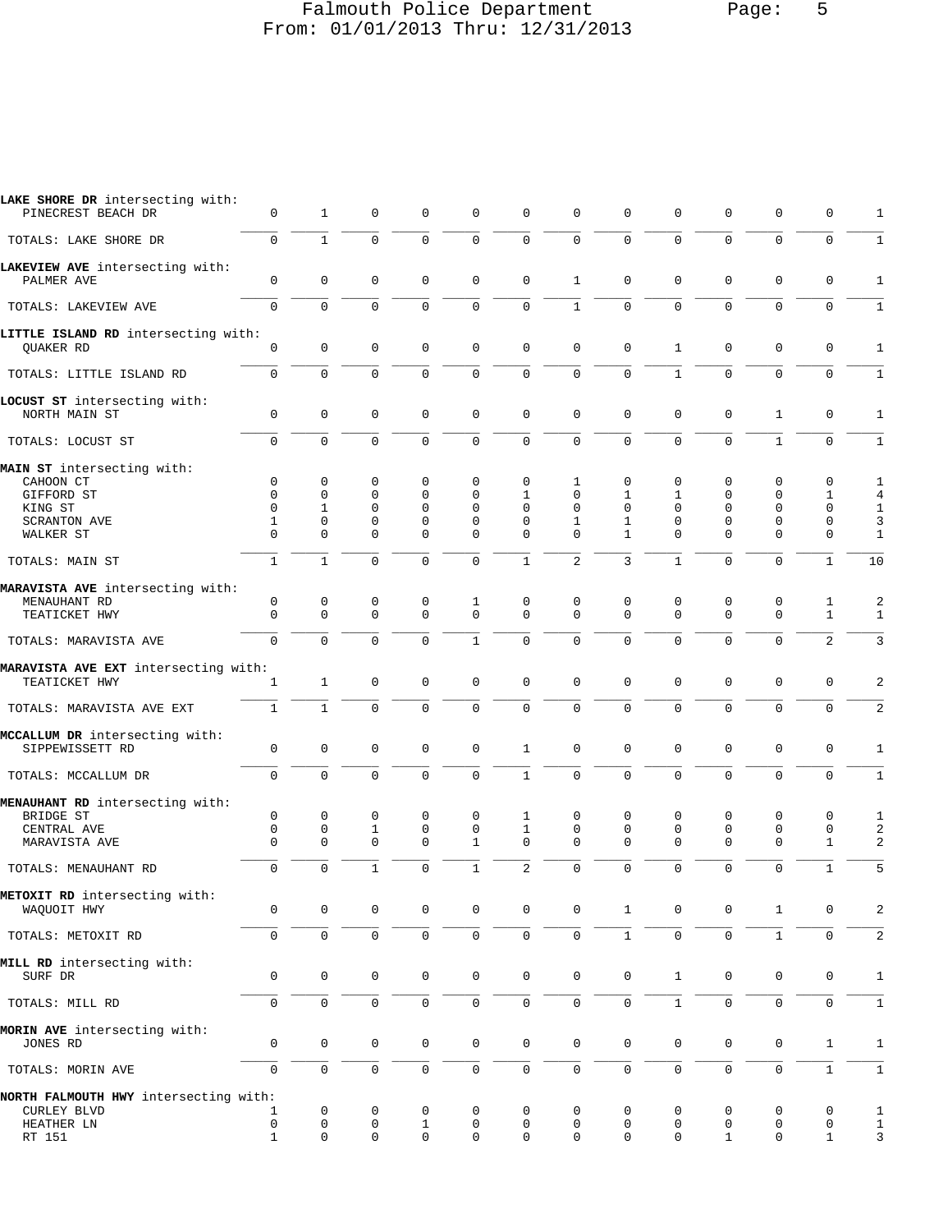### Falmouth Police Department Page: 5 From: 01/01/2013 Thru: 12/31/2013

| LAKE SHORE DR intersecting with:<br>PINECREST BEACH DR | 0            | $\mathbf{1}$        | $\mathbf 0$  | $\mathbf 0$ | $\mathbf 0$         | $\mathbf 0$         | $\mathbf 0$    | 0            | 0                   | 0                   | $\mathbf 0$  | 0              | $\mathbf{1}$   |
|--------------------------------------------------------|--------------|---------------------|--------------|-------------|---------------------|---------------------|----------------|--------------|---------------------|---------------------|--------------|----------------|----------------|
| TOTALS: LAKE SHORE DR                                  | $\Omega$     | $\mathbf{1}$        | $\mathbf 0$  | $\Omega$    | $\mathbf 0$         | $\mathbf 0$         | $\Omega$       | $\mathbf{0}$ | $\Omega$            | 0                   | $\Omega$     | $\mathbf 0$    | 1              |
| LAKEVIEW AVE intersecting with:<br>PALMER AVE          | 0            | $\mathbf 0$         | $\mathbf 0$  | $\mathbf 0$ | $\mathbf 0$         | $\mathbf 0$         | $\mathbf{1}$   | $\mathbf 0$  | $\Omega$            | $\mathbf 0$         | $\mathbf 0$  | $\mathbf 0$    | 1              |
| TOTALS: LAKEVIEW AVE                                   | $\Omega$     | $\Omega$            | $\Omega$     | $\Omega$    | $\Omega$            | $\Omega$            | $\mathbf{1}$   | $\Omega$     | $\Omega$            | $\Omega$            | $\Omega$     | $\mathbf 0$    | $\mathbf{1}$   |
| LITTLE ISLAND RD intersecting with:                    |              |                     |              |             |                     |                     |                |              |                     |                     |              |                |                |
| QUAKER RD                                              | 0            | $\mathsf 0$         | $\mathbf 0$  | $\mathbf 0$ | $\mathbf 0$         | $\mathbf 0$         | $\mathbf 0$    | 0            | $\mathbf{1}$        | $\mathbf 0$         | $\mathbf 0$  | 0              | 1              |
| TOTALS: LITTLE ISLAND RD                               | 0            | $\Omega$            | $\mathbf 0$  | $\Omega$    | $\mathbf 0$         | $\mathbf 0$         | $\Omega$       | $\Omega$     | $\mathbf{1}$        | $\Omega$            | $\Omega$     | $\mathbf 0$    | 1              |
| LOCUST ST intersecting with:<br>NORTH MAIN ST          | 0            | 0                   | $\mathbf 0$  | $\Omega$    | $\mathbf 0$         | $\mathbf 0$         | $\mathbf 0$    | 0            | $\mathbf 0$         | $\mathbf 0$         | $\mathbf{1}$ | 0              | 1              |
| TOTALS: LOCUST ST                                      | 0            | $\mathbf 0$         | $\mathbf 0$  | $\mathbf 0$ | $\mathbf 0$         | $\mathbf 0$         | $\mathbf 0$    | 0            | $\mathbf 0$         | $\mathbf 0$         | $\mathbf{1}$ | $\mathbf 0$    | 1              |
| MAIN ST intersecting with:                             |              |                     |              |             |                     |                     |                |              |                     |                     |              |                |                |
| CAHOON CT                                              | 0            | 0                   | 0            | 0           | $\mathbf 0$         | $\mathbf 0$         | 1              | 0            | 0                   | $\mathbf 0$         | 0            | 0              | 1              |
| GIFFORD ST                                             | $\mathbf 0$  | $\mathbf 0$         | $\mathbf 0$  | $\Omega$    | $\Omega$            | $\mathbf{1}$        | $\Omega$       | 1            | $\mathbf{1}$        | $\Omega$            | $\Omega$     | $\mathbf{1}$   | $\overline{4}$ |
| KING ST                                                | $\Omega$     | 1                   | $\Omega$     | $\Omega$    | $\Omega$            | $\Omega$            | $\Omega$       | $\Omega$     | $\Omega$            | $\Omega$            | $\Omega$     | $\Omega$       | 1              |
| <b>SCRANTON AVE</b>                                    | $\mathbf{1}$ | $\mathbf 0$         | $\mathbf 0$  | $\Omega$    | $\Omega$            | $\Omega$            | $\mathbf{1}$   | $\mathbf{1}$ | $\mathbf 0$         | $\Omega$            | $\Omega$     | $\mathbf 0$    | 3              |
| WALKER ST                                              | $\Omega$     | $\Omega$            | $\Omega$     | $\Omega$    | $\Omega$            | $\Omega$            | $\Omega$       | $\mathbf{1}$ | $\Omega$            | $\Omega$            | $\Omega$     | $\mathbf 0$    | $\mathbf{1}$   |
| TOTALS: MAIN ST                                        | $\mathbf{1}$ | $\mathbf{1}$        | $\Omega$     | $\Omega$    | $\Omega$            | $\mathbf{1}$        | $\overline{a}$ | 3            | $\mathbf{1}$        | $\Omega$            | $\Omega$     | $\mathbf{1}$   | 10             |
| MARAVISTA AVE intersecting with:                       |              |                     |              |             |                     |                     |                |              |                     |                     |              |                |                |
| MENAUHANT RD                                           | 0            | 0                   | 0            | $\mathbf 0$ | 1                   | $\mathbf 0$         | $\Omega$       | $\Omega$     | 0                   | 0                   | 0            | 1              | $\overline{c}$ |
| TEATICKET HWY                                          | $\Omega$     | $\mathbf 0$         | $\Omega$     | $\Omega$    | $\Omega$            | $\Omega$            | $\Omega$       | $\Omega$     | $\Omega$            | $\Omega$            | $\Omega$     | $\mathbf{1}$   | 1              |
| TOTALS: MARAVISTA AVE                                  | 0            | $\Omega$            | $\Omega$     | $\Omega$    | $\mathbf{1}$        | $\mathbf 0$         | $\Omega$       | 0            | $\Omega$            | $\Omega$            | $\Omega$     | $\overline{a}$ | 3              |
| MARAVISTA AVE EXT intersecting with:                   |              |                     |              |             |                     |                     |                |              |                     |                     |              |                |                |
| TEATICKET HWY                                          | $\mathbf{1}$ | $\mathbf{1}$        | $\mathbf 0$  | $\mathbf 0$ | $\mathbf 0$         | $\mathbf 0$         | $\mathbf 0$    | $\mathbf 0$  | $\mathbf 0$         | $\mathbf 0$         | $\Omega$     | $\mathbf 0$    | 2              |
| TOTALS: MARAVISTA AVE EXT                              | $\mathbf{1}$ | $\mathbf{1}$        | $\mathbf 0$  | $\Omega$    | $\Omega$            | $\Omega$            | $\Omega$       | $\Omega$     | $\Omega$            | $\Omega$            | $\Omega$     | $\Omega$       | 2              |
|                                                        |              |                     |              |             |                     |                     |                |              |                     |                     |              |                |                |
| MCCALLUM DR intersecting with:<br>SIPPEWISSETT RD      | 0            | 0                   | $\mathbf 0$  | $\mathbf 0$ | $\mathbf 0$         | $\mathbf{1}$        | $\mathbf 0$    | 0            | $\mathbf 0$         | $\mathbf 0$         | 0            | 0              | 1              |
| TOTALS: MCCALLUM DR                                    | 0            | $\Omega$            | $\mathbf 0$  | $\Omega$    | $\mathbf 0$         | $\mathbf{1}$        | $\mathbf 0$    | 0            | $\Omega$            | $\mathbf 0$         | $\Omega$     | $\mathbf 0$    | 1              |
| MENAUHANT RD intersecting with:                        |              |                     |              |             |                     |                     |                |              |                     |                     |              |                |                |
| BRIDGE ST                                              | 0            | 0                   | 0            | $\mathbf 0$ | $\mathbf 0$         | 1                   | $\mathbf 0$    | 0            | 0                   | $\mathbf 0$         | $\mathbf 0$  | 0              | 1              |
| CENTRAL AVE                                            | 0            | $\mathbf 0$         | $\mathbf{1}$ | $\mathbf 0$ | 0                   | 1                   | $\mathbf 0$    | $\mathbf 0$  | 0                   | 0                   | $\mathbf 0$  | 0              | $\overline{c}$ |
| MARAVISTA AVE                                          | $\Omega$     | $\Omega$            | $\Omega$     | $\mathbf 0$ | 1                   | 0                   | $\Omega$       | $\Omega$     | $\Omega$            | $\Omega$            | $\mathbf 0$  | $\mathbf{1}$   | 2              |
| TOTALS: MENAUHANT RD                                   | $\Omega$     | $\Omega$            | $\mathbf{1}$ | $\Omega$    | $\mathbf{1}$        | 2                   | $\Omega$       | $\Omega$     | $\Omega$            | $\Omega$            | $\Omega$     | $\mathbf{1}$   | 5              |
| METOXIT RD intersecting with:                          |              |                     |              |             |                     |                     |                |              |                     |                     |              |                |                |
| WAQUOIT HWY                                            | 0            | 0                   | 0            | 0           | 0                   | $\mathbf 0$         | 0              | 1            | 0                   | 0                   | 1            | 0              | $\overline{c}$ |
| TOTALS: METOXIT RD                                     | 0            | 0                   | $\mathsf 0$  | $\mathbf 0$ | $\mathbb O$         | $\mathsf 0$         | $\mathsf 0$    | $1\,$        | $\mathsf{O}\xspace$ | $\mathsf 0$         | $\mathbf 1$  | $\mathsf 0$    | $\overline{c}$ |
| MILL RD intersecting with:                             |              |                     |              |             |                     |                     |                |              |                     |                     |              |                |                |
| SURF DR                                                | 0            | $\mathsf{O}\xspace$ | 0            | 0           | $\mathbf 0$         | $\mathsf 0$         | $\mathsf 0$    | 0            | $\mathbf{1}$        | $\mathsf{O}\xspace$ | $\mathbf 0$  | 0              | 1              |
| TOTALS: MILL RD                                        | 0            | 0                   | $\mathsf 0$  | 0           | $\mathsf{O}\xspace$ | $\mathsf{O}\xspace$ | $\mathbf 0$    | 0            | $\overline{1}$      | 0                   | 0            | 0              | $1\,$          |
| MORIN AVE intersecting with:                           |              |                     |              |             |                     |                     |                |              |                     |                     |              |                |                |
| JONES RD                                               | 0            | 0                   | $\mathsf 0$  | 0           | $\mathbb O$         | $\mathsf 0$         | $\mathsf 0$    | $\mathbf 0$  | $\mathsf{O}\xspace$ | $\mathsf{O}\xspace$ | $\mathbf 0$  | $\mathbf{1}$   | $\mathbf{1}$   |
| TOTALS: MORIN AVE                                      | 0            | $\mathsf 0$         | $\mathsf 0$  | $\mathsf 0$ | $\mathsf{O}\xspace$ | $\mathsf{O}\xspace$ | $\mathsf 0$    | 0            | $\mathsf 0$         | 0                   | 0            | $\mathbf 1$    | $\mathbf 1$    |
| NORTH FALMOUTH HWY intersecting with:                  |              |                     |              |             |                     |                     |                |              |                     |                     |              |                |                |
| CURLEY BLVD                                            | 1            | 0                   | 0            | 0           | 0                   | 0                   | 0              | 0            | 0                   | 0                   | 0            | 0              | 1              |
| HEATHER LN                                             | 0            | 0                   | 0            | 1           | 0                   | 0                   | 0              | 0            | 0                   | 0                   | 0            | 0              | 1              |
| RT 151                                                 | $\mathbf{1}$ | 0                   | $\mathsf 0$  | 0           | $\mathbf 0$         | $\mathbf 0$         | $\mathsf 0$    | $\mathbf 0$  | 0                   | $\mathbf{1}$        | 0            | $\mathbf{1}$   | 3              |
|                                                        |              |                     |              |             |                     |                     |                |              |                     |                     |              |                |                |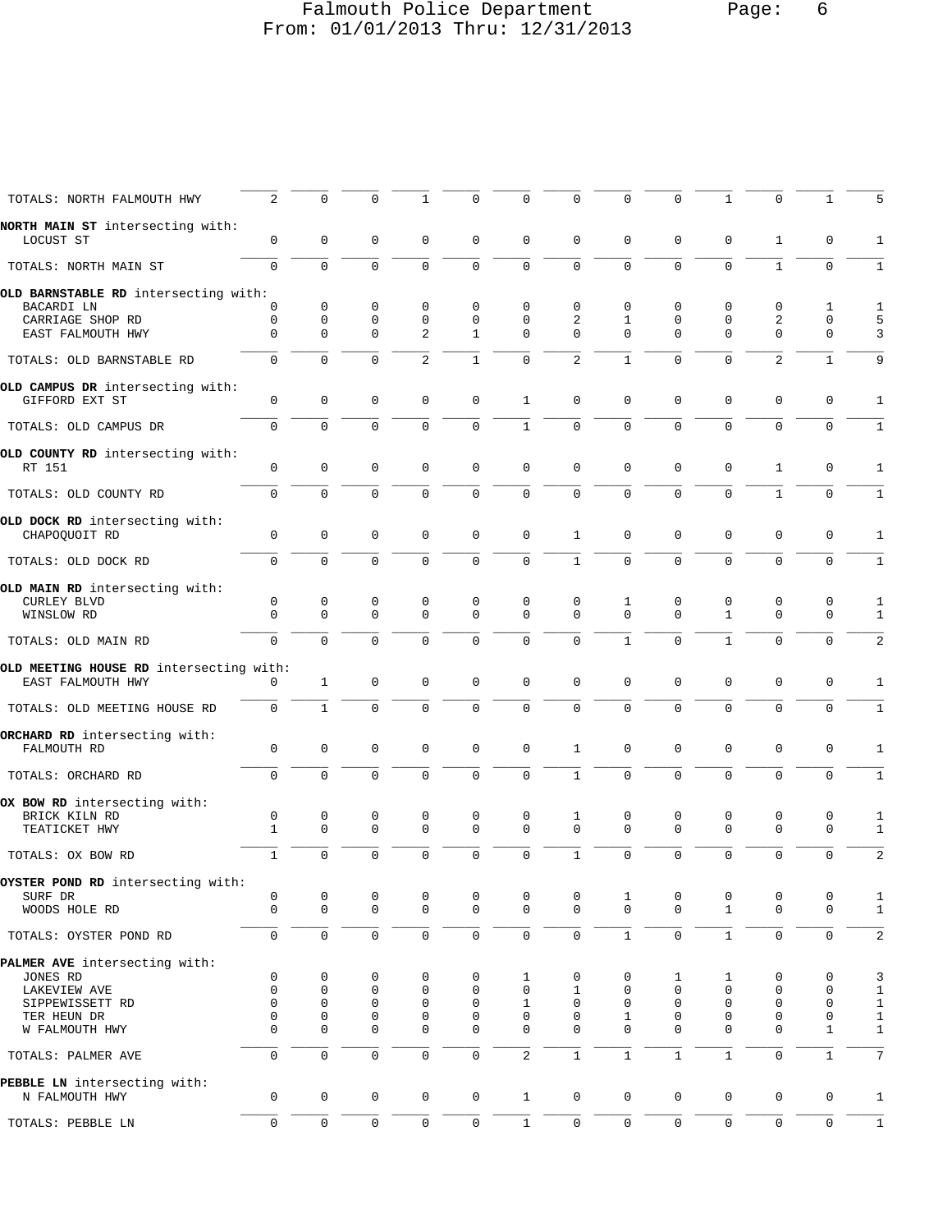## Falmouth Police Department Page: 6 From: 01/01/2013 Thru: 12/31/2013

| 2                                 | $\Omega$                                                                                                                                                                    | $\Omega$                                                                                 | $\mathbf{1}$                                                                                                                       | $\Omega$                                                                                                               | 0                                                                                                                             | $\Omega$                                                                                       |                                                                                                                     | $\Omega$                                                                         | 1                                                                         | $\Omega$                                                  |                                                                                          | 5                                                                                       |
|-----------------------------------|-----------------------------------------------------------------------------------------------------------------------------------------------------------------------------|------------------------------------------------------------------------------------------|------------------------------------------------------------------------------------------------------------------------------------|------------------------------------------------------------------------------------------------------------------------|-------------------------------------------------------------------------------------------------------------------------------|------------------------------------------------------------------------------------------------|---------------------------------------------------------------------------------------------------------------------|----------------------------------------------------------------------------------|---------------------------------------------------------------------------|-----------------------------------------------------------|------------------------------------------------------------------------------------------|-----------------------------------------------------------------------------------------|
| $\mathbf 0$                       | $\mathbf 0$                                                                                                                                                                 | 0                                                                                        | $\mathbf 0$                                                                                                                        | $\mathbf 0$                                                                                                            | $\Omega$                                                                                                                      | $\mathbf 0$                                                                                    | 0                                                                                                                   | 0                                                                                | $\mathbf 0$                                                               | 1                                                         | $\Omega$                                                                                 | $\mathbf{1}$                                                                            |
| $\Omega$                          | $\Omega$                                                                                                                                                                    | $\mathbf 0$                                                                              | $\mathbf 0$                                                                                                                        | $\mathbf 0$                                                                                                            | $\mathbf 0$                                                                                                                   | $\Omega$                                                                                       | $\Omega$                                                                                                            | $\Omega$                                                                         | $\Omega$                                                                  | $\mathbf{1}$                                              | $\mathbf 0$                                                                              | 1                                                                                       |
|                                   |                                                                                                                                                                             |                                                                                          |                                                                                                                                    |                                                                                                                        |                                                                                                                               |                                                                                                |                                                                                                                     |                                                                                  |                                                                           |                                                           |                                                                                          |                                                                                         |
|                                   |                                                                                                                                                                             |                                                                                          |                                                                                                                                    |                                                                                                                        |                                                                                                                               |                                                                                                |                                                                                                                     |                                                                                  |                                                                           |                                                           |                                                                                          | 1                                                                                       |
|                                   |                                                                                                                                                                             |                                                                                          |                                                                                                                                    |                                                                                                                        |                                                                                                                               |                                                                                                |                                                                                                                     |                                                                                  |                                                                           |                                                           |                                                                                          | 5                                                                                       |
| $\Omega$                          | $\Omega$                                                                                                                                                                    |                                                                                          |                                                                                                                                    | 1                                                                                                                      | $\Omega$                                                                                                                      | $\Omega$                                                                                       | $\Omega$                                                                                                            | $\Omega$                                                                         | $\Omega$                                                                  | $\Omega$                                                  | $\Omega$                                                                                 | 3                                                                                       |
| $\Omega$                          | $\Omega$                                                                                                                                                                    | $\mathbf 0$                                                                              | 2                                                                                                                                  | $\mathbf{1}$                                                                                                           | $\Omega$                                                                                                                      | 2                                                                                              | $\mathbf{1}$                                                                                                        | $\Omega$                                                                         | $\Omega$                                                                  | 2                                                         | 1                                                                                        | 9                                                                                       |
| $\mathbf 0$                       | $\Omega$                                                                                                                                                                    | $\Omega$                                                                                 | $\Omega$                                                                                                                           | 0                                                                                                                      | $\mathbf{1}$                                                                                                                  | $\Omega$                                                                                       | $\Omega$                                                                                                            | $\Omega$                                                                         | 0                                                                         | $\mathbf 0$                                               | $\Omega$                                                                                 | 1                                                                                       |
| $\Omega$                          | $\mathbf 0$                                                                                                                                                                 | $\Omega$                                                                                 | $\Omega$                                                                                                                           | $\Omega$                                                                                                               | $\mathbf{1}$                                                                                                                  | $\Omega$                                                                                       | $\Omega$                                                                                                            | 0                                                                                | $\mathbf 0$                                                               | $\mathbf 0$                                               | $\mathbf 0$                                                                              | $\mathbf{1}$                                                                            |
| $\mathbf 0$                       | $\mathbf 0$                                                                                                                                                                 | $\mathbf 0$                                                                              | 0                                                                                                                                  | $\mathbf 0$                                                                                                            | $\mathbf 0$                                                                                                                   | $\mathbf 0$                                                                                    | $\Omega$                                                                                                            | 0                                                                                | $\mathbf 0$                                                               | 1                                                         | 0                                                                                        | 1                                                                                       |
| $\Omega$                          | $\Omega$                                                                                                                                                                    | $\Omega$                                                                                 | $\Omega$                                                                                                                           | $\Omega$                                                                                                               | $\Omega$                                                                                                                      | $\Omega$                                                                                       |                                                                                                                     | $\Omega$                                                                         | $\Omega$                                                                  | $\mathbf{1}$                                              | $\Omega$                                                                                 | $\mathbf{1}$                                                                            |
|                                   |                                                                                                                                                                             |                                                                                          |                                                                                                                                    |                                                                                                                        |                                                                                                                               |                                                                                                |                                                                                                                     |                                                                                  |                                                                           |                                                           |                                                                                          |                                                                                         |
| 0                                 | $\mathbf 0$                                                                                                                                                                 | $\mathbf 0$                                                                              | $\mathbf 0$                                                                                                                        | $\mathbf 0$                                                                                                            | $\mathbf 0$                                                                                                                   | 1                                                                                              | 0                                                                                                                   | 0                                                                                | $\mathbf 0$                                                               | $\mathbf 0$                                               | 0                                                                                        | 1                                                                                       |
| $\Omega$                          | $\Omega$                                                                                                                                                                    | $\Omega$                                                                                 | $\Omega$                                                                                                                           | $\Omega$                                                                                                               | $\mathbf 0$                                                                                                                   | $\mathbf{1}$                                                                                   | $\mathbf 0$                                                                                                         | $\Omega$                                                                         | $\Omega$                                                                  | $\mathbf 0$                                               | $\Omega$                                                                                 | $\mathbf{1}$                                                                            |
|                                   |                                                                                                                                                                             |                                                                                          |                                                                                                                                    |                                                                                                                        |                                                                                                                               |                                                                                                |                                                                                                                     |                                                                                  |                                                                           |                                                           |                                                                                          |                                                                                         |
|                                   |                                                                                                                                                                             |                                                                                          |                                                                                                                                    |                                                                                                                        |                                                                                                                               |                                                                                                |                                                                                                                     |                                                                                  |                                                                           |                                                           |                                                                                          | 1                                                                                       |
|                                   |                                                                                                                                                                             |                                                                                          |                                                                                                                                    |                                                                                                                        |                                                                                                                               |                                                                                                |                                                                                                                     |                                                                                  |                                                                           |                                                           |                                                                                          | $\mathbf{1}$                                                                            |
| $\Omega$                          | $\Omega$                                                                                                                                                                    | $\Omega$                                                                                 | $\Omega$                                                                                                                           | $\Omega$                                                                                                               | $\Omega$                                                                                                                      | $\Omega$                                                                                       | $\mathbf{1}$                                                                                                        | $\Omega$                                                                         | $\mathbf{1}$                                                              | $\Omega$                                                  | $\Omega$                                                                                 | 2                                                                                       |
| $\Omega$                          | $\mathbf{1}$                                                                                                                                                                | $\mathbf 0$                                                                              | $\Omega$                                                                                                                           | 0                                                                                                                      | $\mathbf 0$                                                                                                                   | $\Omega$                                                                                       | $\Omega$                                                                                                            | 0                                                                                | $\mathbf 0$                                                               | $\mathbf 0$                                               | 0                                                                                        | 1                                                                                       |
| $\Omega$                          | $\mathbf{1}$                                                                                                                                                                | $\mathbf 0$                                                                              | $\Omega$                                                                                                                           | $\Omega$                                                                                                               | $\Omega$                                                                                                                      | $\mathbf 0$                                                                                    | $\Omega$                                                                                                            | $\Omega$                                                                         | $\mathbf 0$                                                               | $\mathbf 0$                                               | $\Omega$                                                                                 | $\mathbf{1}$                                                                            |
|                                   |                                                                                                                                                                             |                                                                                          |                                                                                                                                    |                                                                                                                        |                                                                                                                               |                                                                                                |                                                                                                                     |                                                                                  |                                                                           |                                                           |                                                                                          |                                                                                         |
| 0                                 | $\mathbf 0$                                                                                                                                                                 | 0                                                                                        | 0                                                                                                                                  | 0                                                                                                                      | $\mathbf 0$                                                                                                                   | 1                                                                                              | $\Omega$                                                                                                            | 0                                                                                | $\mathbf 0$                                                               | $\mathbf 0$                                               | 0                                                                                        | 1                                                                                       |
| $\Omega$                          | $\Omega$                                                                                                                                                                    | $\Omega$                                                                                 | $\Omega$                                                                                                                           | $\Omega$                                                                                                               | $\Omega$                                                                                                                      | $\mathbf{1}$                                                                                   | $\Omega$                                                                                                            | 0                                                                                | $\mathbf 0$                                                               | $\Omega$                                                  | $\Omega$                                                                                 | $\mathbf{1}$                                                                            |
|                                   |                                                                                                                                                                             |                                                                                          |                                                                                                                                    |                                                                                                                        |                                                                                                                               |                                                                                                |                                                                                                                     |                                                                                  |                                                                           |                                                           |                                                                                          | 1                                                                                       |
| $\mathbf{1}$                      | $\Omega$                                                                                                                                                                    | $\Omega$                                                                                 | $\Omega$                                                                                                                           | $\Omega$                                                                                                               | $\Omega$                                                                                                                      | $\Omega$                                                                                       | $\Omega$                                                                                                            | $\Omega$                                                                         | $\Omega$                                                                  | $\Omega$                                                  | $\mathbf 0$                                                                              | 1                                                                                       |
| $\mathbf{1}$                      | $\Omega$                                                                                                                                                                    | $\Omega$                                                                                 | $\Omega$                                                                                                                           | $\Omega$                                                                                                               | $\Omega$                                                                                                                      | $\mathbf{1}$                                                                                   | $\Omega$                                                                                                            | $\Omega$                                                                         | $\Omega$                                                                  | $\Omega$                                                  | $\Omega$                                                                                 | 2                                                                                       |
|                                   |                                                                                                                                                                             |                                                                                          |                                                                                                                                    |                                                                                                                        |                                                                                                                               |                                                                                                |                                                                                                                     |                                                                                  |                                                                           |                                                           |                                                                                          |                                                                                         |
| 0                                 | 0                                                                                                                                                                           | 0                                                                                        | 0                                                                                                                                  | 0                                                                                                                      | 0                                                                                                                             | 0                                                                                              | 1                                                                                                                   | 0                                                                                | 0                                                                         | 0                                                         | 0                                                                                        | 1                                                                                       |
| $\mathbf{0}$                      | $\mathbf 0$                                                                                                                                                                 | $\mathbf 0$                                                                              | $\mathbf 0$                                                                                                                        | $\mathbf 0$                                                                                                            | $\mathbf 0$                                                                                                                   | $\mathbf 0$                                                                                    | $\Omega$                                                                                                            | $\mathbf 0$                                                                      | $\mathbf{1}$                                                              | $\mathbf 0$                                               | $\mathbf 0$                                                                              | $\mathbf{1}$                                                                            |
| $\mathsf{O}$                      | $\mathbf 0$                                                                                                                                                                 | $\mathbf 0$                                                                              | 0                                                                                                                                  | $\mathbf 0$                                                                                                            | $\mathbf 0$                                                                                                                   | $\mathbf 0$                                                                                    | $\mathbf{1}$                                                                                                        | 0                                                                                | $\mathbf{1}$                                                              | $\mathsf 0$                                               | 0                                                                                        | $\sqrt{2}$                                                                              |
|                                   |                                                                                                                                                                             |                                                                                          |                                                                                                                                    |                                                                                                                        |                                                                                                                               |                                                                                                |                                                                                                                     |                                                                                  |                                                                           |                                                           |                                                                                          |                                                                                         |
|                                   |                                                                                                                                                                             |                                                                                          |                                                                                                                                    |                                                                                                                        |                                                                                                                               |                                                                                                |                                                                                                                     |                                                                                  |                                                                           |                                                           |                                                                                          | 3                                                                                       |
|                                   |                                                                                                                                                                             |                                                                                          |                                                                                                                                    |                                                                                                                        |                                                                                                                               |                                                                                                |                                                                                                                     |                                                                                  |                                                                           |                                                           |                                                                                          | $\mathbf{1}$                                                                            |
|                                   | 0                                                                                                                                                                           |                                                                                          |                                                                                                                                    |                                                                                                                        | 1                                                                                                                             |                                                                                                | 0                                                                                                                   |                                                                                  | $\mathbf 0$                                                               | $\mathbf 0$                                               |                                                                                          | $\mathbf{1}$                                                                            |
| 0                                 | 0                                                                                                                                                                           |                                                                                          | 0                                                                                                                                  |                                                                                                                        |                                                                                                                               |                                                                                                | $\mathbf{1}$                                                                                                        | 0                                                                                | 0                                                                         | 0                                                         | 0                                                                                        | $\mathbf 1$                                                                             |
| 0                                 |                                                                                                                                                                             |                                                                                          |                                                                                                                                    |                                                                                                                        |                                                                                                                               |                                                                                                |                                                                                                                     |                                                                                  | 0                                                                         |                                                           |                                                                                          | $\,1\,$                                                                                 |
| $\mathbf 0$                       | $\mathsf{O}\xspace$                                                                                                                                                         | $\mathsf{O}\xspace$                                                                      | $\mathbf 0$                                                                                                                        | $\mathbf 0$                                                                                                            | $\overline{2}$                                                                                                                | $\mathbf{1}$                                                                                   | $\mathbf{1}$                                                                                                        | $\mathbf{1}$                                                                     | $\mathbf{1}$                                                              | $\mathsf 0$                                               | $\mathbf{1}$                                                                             | 7                                                                                       |
|                                   |                                                                                                                                                                             |                                                                                          |                                                                                                                                    |                                                                                                                        |                                                                                                                               |                                                                                                |                                                                                                                     |                                                                                  |                                                                           |                                                           |                                                                                          | $\mathbf{1}$                                                                            |
|                                   |                                                                                                                                                                             |                                                                                          |                                                                                                                                    |                                                                                                                        |                                                                                                                               |                                                                                                |                                                                                                                     |                                                                                  |                                                                           |                                                           |                                                                                          |                                                                                         |
| $\mathbf 0$                       | $\mathbf 0$                                                                                                                                                                 | $\mathbf 0$                                                                              | 0                                                                                                                                  | $\mathbf 0$                                                                                                            | $\mathbf{1}$                                                                                                                  | 0                                                                                              | 0                                                                                                                   | 0                                                                                | 0                                                                         | $\mathbf 0$                                               | 0                                                                                        | $\mathbf{1}$                                                                            |
| OYSTER POND RD intersecting with: | OLD BARNSTABLE RD intersecting with:<br>$\mathbf 0$<br>0<br>0<br>$\Omega$<br>OLD MEETING HOUSE RD intersecting with:<br>0<br>0<br>$\mathbf 0$<br>$\mathbf 0$<br>$\mathbf 0$ | $\mathbf 0$<br>0<br>0<br>$\Omega$<br>$\mathbf 0$<br>0<br>0<br>$\mathbf 0$<br>$\mathbf 0$ | 0<br>$\mathbf 0$<br>$\Omega$<br>0<br>$\Omega$<br>0<br>0<br>$\mathbf 0$<br>$\mathbf 0$<br>$\mathbf 0$<br>$\mathbf 0$<br>$\mathbf 0$ | $\mathbf 0$<br>$\mathbf 0$<br>2<br>$\mathbf 0$<br>$\Omega$<br>0<br>0<br>$\mathbf 0$<br>$\mathbf 0$<br>$\mathbf 0$<br>0 | $\Omega$<br>$\mathbf 0$<br>0<br>$\Omega$<br>0<br>0<br>$\mathbf 0$<br>$\mathbf 0$<br>$\mathbf 0$<br>$\mathbf 0$<br>$\mathbf 0$ | 0<br>0<br>0<br>$\Omega$<br>0<br>1<br>$\mathbf 0$<br>$\mathbf 0$<br>$\mathbf 0$<br>$\mathbf{1}$ | $\Omega$<br>2<br>$\mathbf 0$<br>$\Omega$<br>1<br>0<br>1<br>$\mathbf 0$<br>$\mathbf 0$<br>$\mathbf 0$<br>$\mathbf 0$ | 0<br>$\mathbf{1}$<br>1<br>$\Omega$<br>0<br>0<br>0<br>$\mathbf{0}$<br>$\mathbf 0$ | 0<br>0<br>0<br>$\Omega$<br>0<br>1<br>$\mathbf 0$<br>$\mathbf 0$<br>0<br>0 | 0<br>0<br>0<br>$\mathbf{1}$<br>0<br>1<br>$\mathbf 0$<br>0 | 0<br>2<br>0<br>$\Omega$<br>$\mathbf 0$<br>0<br>$\mathbf 0$<br>$\mathbf 0$<br>$\mathbf 0$ | 1<br>$\mathbf 0$<br>0<br>$\mathbf 0$<br>0<br>0<br>0<br>$\mathbf 0$<br>$\mathbf{1}$<br>0 |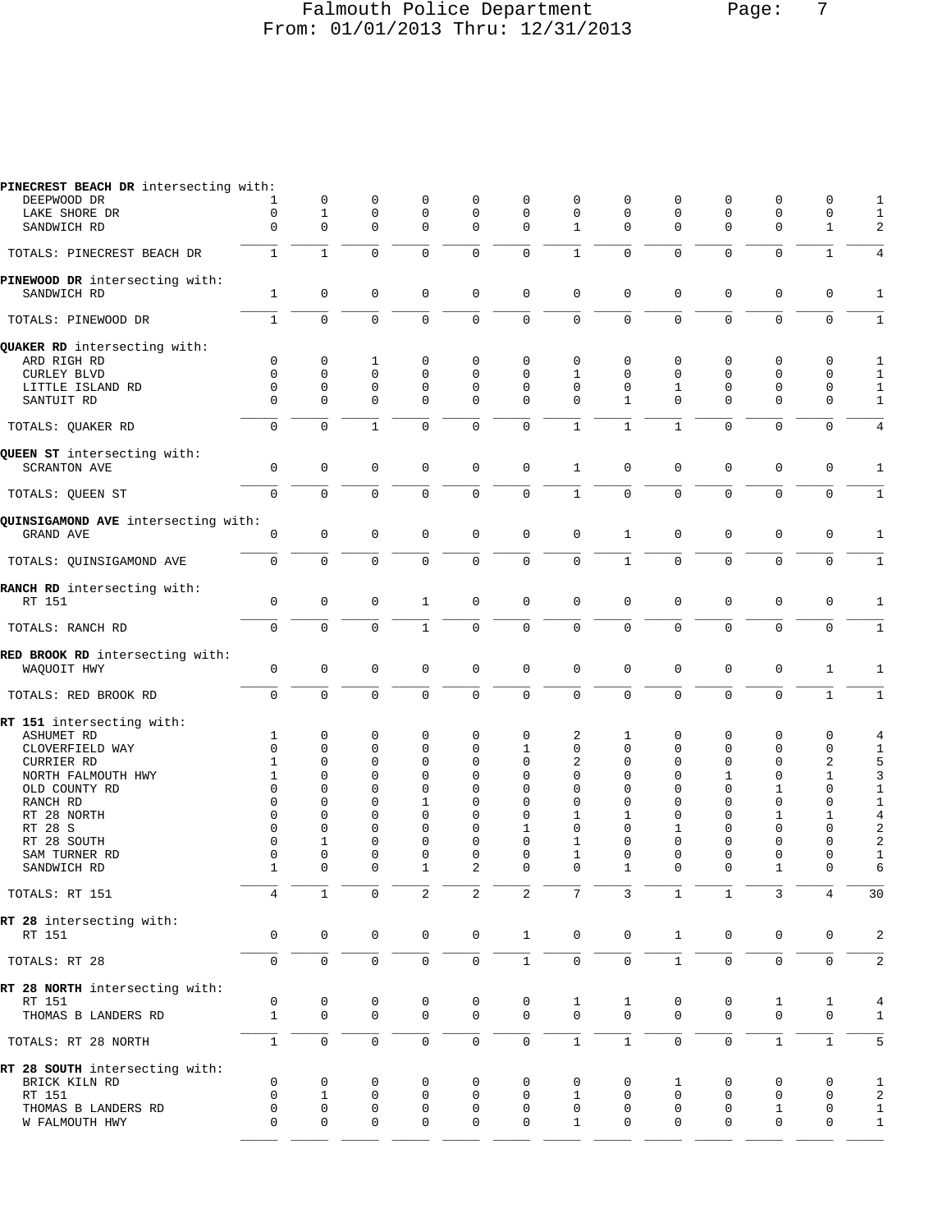# Falmouth Police Department Falmouth Police Department From: 01/01/2013 Thru: 12/31/2013

| PINECREST BEACH DR intersecting with:          |                   |                         |                     |                   |                               |              |                |              |               |                         |                  |                         |                         |
|------------------------------------------------|-------------------|-------------------------|---------------------|-------------------|-------------------------------|--------------|----------------|--------------|---------------|-------------------------|------------------|-------------------------|-------------------------|
| DEEPWOOD DR                                    |                   | 0                       | 0                   | $\mathbf 0$       | $\mathbf 0$                   | 0            | 0              | 0            | 0             | 0                       | $\mathbf 0$      | 0                       | 1                       |
| LAKE SHORE DR                                  | 0                 | $\mathbf{1}$            | $\mathbf 0$         | $\mathbf 0$       | $\mathbf 0$                   | $\mathbf 0$  | 0              | 0            | 0             | $\mathbf{0}$            | $\mathbf 0$      | $\mathbf 0$             | 1                       |
| SANDWICH RD                                    | $\mathbf 0$       | $\mathbf 0$             | $\mathbf 0$         | $\mathbf 0$       | $\Omega$                      | $\Omega$     | $\mathbf{1}$   | $\Omega$     | $\mathbf 0$   | $\Omega$                | $\mathbf 0$      | $\mathbf{1}$            | 2                       |
| TOTALS: PINECREST BEACH DR                     | $\mathbf{1}$      | $\mathbf{1}$            | $\mathbf 0$         | $\mathbf 0$       | $\mathbf 0$                   | 0            | $\mathbf{1}$   | 0            | $\mathbf 0$   | $\mathbf{0}$            | $\mathbf 0$      | $\mathbf{1}$            | 4                       |
| PINEWOOD DR intersecting with:<br>SANDWICH RD  | 1                 | $\mathbf 0$             | $\mathbf 0$         | $\mathbf 0$       | $\mathbf 0$                   | $\mathbf 0$  | $\mathbf 0$    | 0            | $\mathbf 0$   | $\mathbf 0$             | $\mathbf 0$      | $\mathbf 0$             | 1                       |
| TOTALS: PINEWOOD DR                            | $\mathbf{1}$      | $\mathbf 0$             | $\mathbf 0$         | $\mathbf 0$       | $\mathbf 0$                   | $\mathsf 0$  | $\overline{0}$ | $\mathbf 0$  | $\mathbf 0$   | $\mathbf 0$             | $\mathbf 0$      | $\mathsf{O}\xspace$     | $\mathbf{1}$            |
| QUAKER RD intersecting with:                   |                   |                         |                     |                   |                               |              |                |              |               |                         |                  |                         |                         |
| ARD RIGH RD                                    | 0                 | 0                       | 1                   | 0                 | $\mathbf 0$                   | 0            | $\mathbf 0$    | 0            | 0             | $\mathbf 0$             | 0                | $\mathbf 0$             | 1                       |
| <b>CURLEY BLVD</b>                             | 0                 | $\mathbf 0$             | $\mathbf 0$         | $\mathbf 0$       | $\mathbf 0$                   | 0            | 1              | 0            | $\Omega$      | $\Omega$                | $\mathbf 0$      | $\mathbf 0$             | $\mathbf{1}$            |
| LITTLE ISLAND RD                               | $\mathbf 0$       | $\mathbf 0$             | $\mathbf 0$         | $\mathbf 0$       | $\mathbf 0$                   | $\mathbf 0$  | $\Omega$       | 0            | 1             | $\mathbf{0}$            | $\mathbf 0$      | $\mathbf 0$             | 1                       |
| SANTUIT RD                                     | $\mathbf 0$       | $\mathbf 0$             | $\mathbf 0$         | $\mathbf 0$       | $\mathbf 0$                   | $\Omega$     | $\Omega$       | $\mathbf{1}$ | $\mathbf 0$   | $\mathbf{0}$            | $\mathbf 0$      | $\mathbf 0$             | $\mathbf{1}$            |
| TOTALS: QUAKER RD                              | 0                 | $\Omega$                | $\mathbf{1}$        | $\Omega$          | $\Omega$                      | $\mathbf 0$  | $\mathbf{1}$   | $\mathbf{1}$ | $\mathbf{1}$  | $\Omega$                | $\Omega$         | $\mathbf 0$             | 4                       |
| QUEEN ST intersecting with:                    |                   |                         |                     |                   |                               |              |                |              |               |                         |                  |                         |                         |
| <b>SCRANTON AVE</b>                            | $\mathsf 0$       | $\mathbf 0$             | $\mathbf 0$         | $\mathbf 0$       | $\mathbf 0$                   | $\mathbf 0$  | $\mathbf{1}$   | 0            | 0             | $\mathbf{0}$            | $\mathbf 0$      | $\mathbf 0$             | $\mathbf{1}$            |
| TOTALS: QUEEN ST                               | $\mathbf 0$       | $\mathbf 0$             | $\mathbf 0$         | $\mathbf 0$       | $\mathbf 0$                   | $\mathsf 0$  | $\mathbf{1}$   | 0            | $\mathbf 0$   | $\mathbf 0$             | $\mathbf 0$      | $\mathbf 0$             | $\mathbf{1}$            |
| QUINSIGAMOND AVE intersecting with:            |                   |                         |                     |                   |                               |              |                |              |               |                         |                  |                         |                         |
| GRAND AVE                                      | 0                 | $\mathbf 0$             | $\mathbf 0$         | $\mathbf 0$       | $\mathbf 0$                   | $\mathbf 0$  | $\mathbf 0$    | $\mathbf{1}$ | $\mathbf 0$   | $\mathbf{0}$            | $\mathbf 0$      | $\mathbf 0$             | 1                       |
| TOTALS: QUINSIGAMOND AVE                       | $\mathsf 0$       | $\mathbf 0$             | $\mathbf 0$         | $\mathbf 0$       | $\mathbf 0$                   | 0            | 0              | $\mathbf{1}$ | 0             | $\mathbf{0}$            | $\mathbf 0$      | $\mathbf 0$             | $\mathbf{1}$            |
| RANCH RD intersecting with:                    |                   |                         |                     |                   |                               |              |                |              |               |                         |                  |                         |                         |
| RT 151                                         | $\mathbf 0$       | $\mathbf 0$             | $\mathbf 0$         | 1                 | $\mathbf 0$                   | $\mathbf 0$  | $\mathbf 0$    | 0            | $\mathbf 0$   | $\mathbf 0$             | $\mathbf 0$      | $\mathbf 0$             | 1                       |
| TOTALS: RANCH RD                               | $\mathsf{O}$      | $\mathbf 0$             | $\mathbf 0$         | $\mathbf{1}$      | $\mathbf 0$                   | $\mathbf 0$  | 0              | 0            | $\mathbf 0$   | $\mathbf 0$             | $\mathbf 0$      | $\mathbf 0$             | $\mathbf{1}$            |
| RED BROOK RD intersecting with:<br>WAQUOIT HWY | $\mathsf 0$       | $\mathsf 0$             | $\mathbf 0$         | 0                 | $\mathbf 0$                   | $\mathsf 0$  | $\mathbf 0$    | 0            | $\mathsf 0$   | $\mathbf{0}$            | 0                | 1                       | 1                       |
| TOTALS: RED BROOK RD                           | 0                 | $\mathsf{O}\xspace$     | $\mathbf 0$         | $\mathbf 0$       | $\mathbf 0$                   | $\mathsf 0$  | $\mathbf 0$    | $\mathbf 0$  | 0             | $\mathbf 0$             | $\mathbf 0$      | $1\,$                   | 1                       |
| RT 151 intersecting with:                      |                   |                         |                     |                   |                               |              |                |              |               |                         |                  |                         |                         |
| ASHUMET RD                                     | 1                 | 0                       | 0                   | 0                 | $\mathbf 0$                   | 0            | 2              | 1            | 0             | $\mathbf 0$             | 0                | 0                       | 4                       |
| CLOVERFIELD WAY                                | $\Omega$          | $\Omega$                | $\Omega$            | $\Omega$          | $\Omega$                      | 1            | $\mathbf 0$    | $\Omega$     | 0             | $\Omega$                | $\Omega$         | $\mathbf 0$             | $\mathbf{1}$            |
| <b>CURRIER RD</b>                              | 1                 | $\mathbf 0$             | $\mathbf 0$         | $\mathbf 0$       | $\mathbf 0$                   | $\mathbf 0$  | 2              | 0            | 0             | $\Omega$                | $\mathbf 0$      | $\overline{c}$          |                         |
| NORTH FALMOUTH HWY                             | 1                 | 0                       | $\Omega$            | $\mathbf 0$       | $\mathbf 0$                   | 0            | 0              | 0            | $\Omega$      | 1                       | $\mathbf 0$      | $\mathbf{1}$            | $\frac{5}{3}$           |
| OLD COUNTY RD                                  | $\Omega$          | 0                       | $\Omega$            | $\Omega$          | $\mathbf 0$                   | 0            | $\Omega$       | $\Omega$     | 0             | $\mathbf{0}$            | 1                | $\mathbf 0$             | $\mathbf{1}$            |
| RANCH RD                                       | $\Omega$          | 0                       | $\Omega$            | 1                 | $\mathbf 0$                   | 0            | $\mathbf 0$    | 0            | $\Omega$      | $\Omega$                | $\mathbf 0$      | $\mathbf 0$             | $\mathbf{1}$            |
| RT 28 NORTH                                    | $\Omega$          | 0                       | $\Omega$            | $\mathbf 0$       | $\mathbf 0$                   | 0            | 1              | 1            | 0             | $\Omega$                | 1                | 1                       | $\overline{4}$          |
| RT 28 S                                        | $\Omega$          | $\Omega$                | $\Omega$            | $\Omega$          | $\Omega$                      | 1            | $\Omega$       | $\Omega$     | 1             | $\Omega$                | $\Omega$         | $\mathbf 0$             | $\overline{\mathbf{c}}$ |
| RT 28 SOUTH                                    | $\Omega$          | 1                       | $\mathbf 0$         | $\mathbf{0}$      | $\mathbf 0$                   | 0            | $\mathbf{1}$   | $\mathbf 0$  | 0             | $\mathbf 0$             | $\mathbf 0$      | $\mathbf 0$             | $\overline{a}$          |
| SAM TURNER RD<br>SANDWICH RD                   | 0<br>$\mathbf{1}$ | $\mathbf 0$<br>$\Omega$ | 0<br>$\Omega$       | $\mathbf 0$<br>-1 | $\mathbf 0$<br>$\mathfrak{D}$ | 0<br>0       | 1<br>$\Omega$  | 0<br>1       | 0<br>$\Omega$ | $\mathbf 0$<br>$\Omega$ | $\mathbf 0$<br>1 | $\mathbf 0$<br>$\Omega$ | $\mathbf{1}$<br>6       |
|                                                | 4                 | 1                       | $\mathbf 0$         | 2                 | 2                             | 2            | 7              | 3            | $\mathbf{1}$  | $\mathbf{1}$            | 3                | 4                       |                         |
| TOTALS: RT 151                                 |                   |                         |                     |                   |                               |              |                |              |               |                         |                  |                         | 30                      |
| RT 28 intersecting with:<br>RT 151             | 0                 | 0                       | $\mathbf 0$         | 0                 | $\mathbb O$                   | $\mathbf{1}$ | $\mathbf 0$    | $\mathsf 0$  | $\mathbf{1}$  | $\mathbf 0$             | $\mathbf 0$      | 0                       | $\overline{c}$          |
| TOTALS: RT 28                                  | 0                 | $\mathbf 0$             | $\mathsf{O}\xspace$ | $\mathbf 0$       | $\mathsf{O}\xspace$           | $\mathbf{1}$ | 0              | 0            | $\mathbf{1}$  | $\mathbf 0$             | 0                | $\mathsf{O}\xspace$     | $\overline{a}$          |
| RT 28 NORTH intersecting with:                 |                   |                         |                     |                   |                               |              |                |              |               |                         |                  |                         |                         |
| RT 151                                         | 0                 | 0                       | 0                   | 0                 | 0                             | 0            | 1              | 1            | 0             | 0                       | 1                | 1                       | $\overline{4}$          |
| THOMAS B LANDERS RD                            | $\mathbf{1}$      | $\mathbf{0}$            | $\mathbf 0$         | $\mathbf 0$       | $\mathbf 0$                   | $\mathbf 0$  | $\Omega$       | $\Omega$     | 0             | $\mathbf 0$             | $\mathbf 0$      | $\mathbf 0$             | 1                       |
| TOTALS: RT 28 NORTH                            | $\mathbf{1}$      | 0                       | $\mathbf 0$         | 0                 | $\mathsf{O}\xspace$           | $\mathsf 0$  | $\mathbf{1}$   | $\mathbf{1}$ | $\mathbf 0$   | $\mathbf 0$             | $\mathbf{1}$     | $\mathbf{1}$            | 5                       |
| RT 28 SOUTH intersecting with:                 |                   |                         |                     |                   |                               |              |                |              |               |                         |                  |                         |                         |
| BRICK KILN RD                                  | 0                 | 0                       | 0                   | 0                 | 0                             | 0            | 0              | 0            | 1             | 0                       | 0                | 0                       | 1                       |
| RT 151                                         | 0                 | $\mathbf{1}$            | 0                   | 0                 | 0                             | 0            | 1              | 0            | 0             | 0                       | 0                | 0                       | $\overline{\mathbf{c}}$ |
| THOMAS B LANDERS RD                            | 0                 | 0                       | 0                   | 0                 | 0                             | 0            | 0              | 0            | 0             | 0                       | $\mathbf{1}$     | 0                       | 1                       |
| W FALMOUTH HWY                                 | 0                 | $\mathbf 0$             | 0                   | 0                 | $\mathbf 0$                   | 0            | $\mathbf{1}$   | $\mathbf{0}$ | 0             | 0                       | 0                | 0                       | $\mathbf{1}$            |

\_\_\_\_\_ \_\_\_\_\_ \_\_\_\_\_ \_\_\_\_\_ \_\_\_\_\_ \_\_\_\_\_ \_\_\_\_\_ \_\_\_\_\_ \_\_\_\_\_ \_\_\_\_\_ \_\_\_\_\_ \_\_\_\_\_ \_\_\_\_\_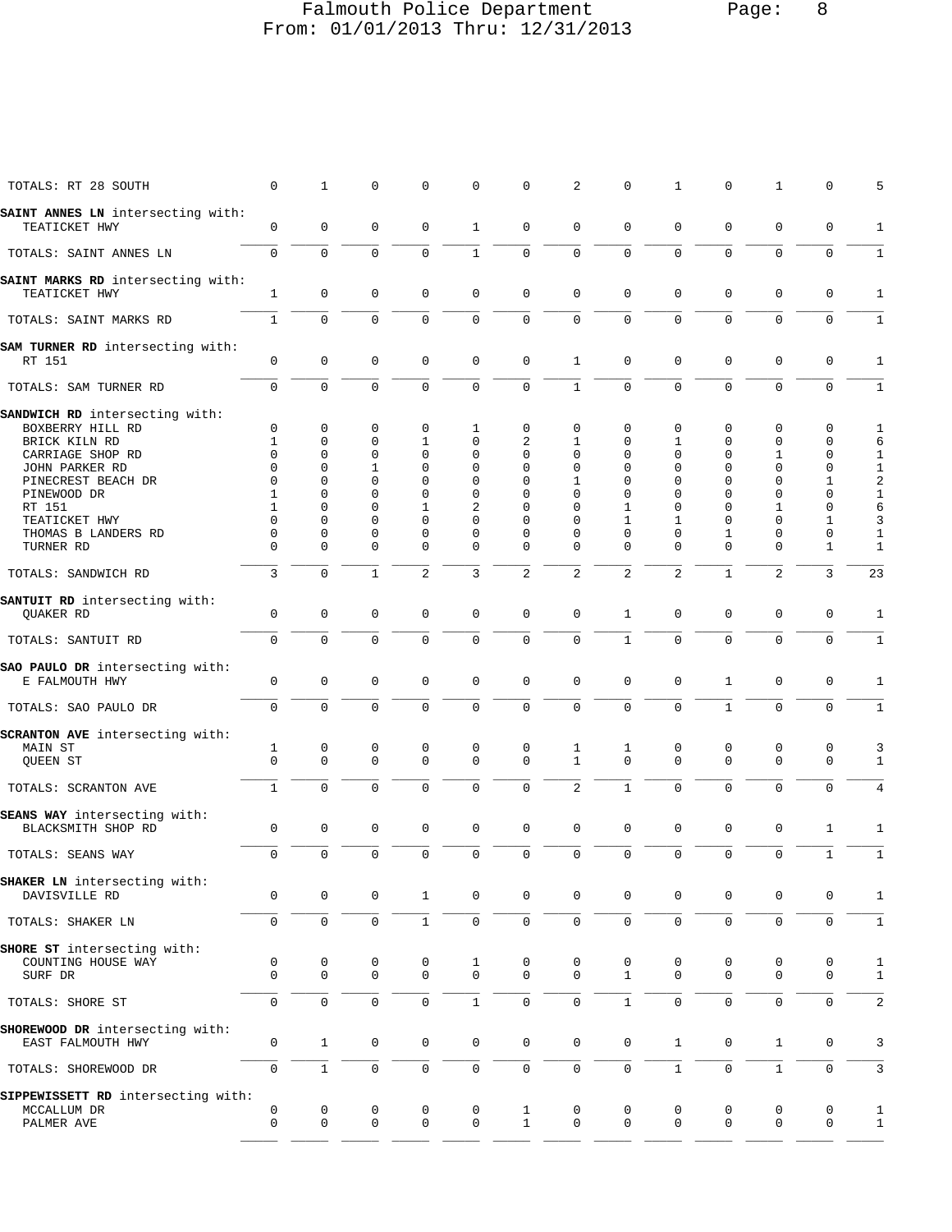## Falmouth Police Department Page: 8 From: 01/01/2013 Thru: 12/31/2013

| TOTALS: RT 28 SOUTH                                  | 0            | $\mathbf{1}$ | $\mathbf 0$      | 0              | 0                | 0                   | 2                | 0              | 1              | 0                | 1              | 0            | 5                |
|------------------------------------------------------|--------------|--------------|------------------|----------------|------------------|---------------------|------------------|----------------|----------------|------------------|----------------|--------------|------------------|
| SAINT ANNES LN intersecting with:<br>TEATICKET HWY   | 0            | $\mathbf 0$  | $\mathbf 0$      | 0              | $\mathbf{1}$     | $\mathbf 0$         | $\mathbf 0$      | 0              | $\mathbf 0$    | $\mathbf 0$      | $\mathbf 0$    | 0            | 1                |
| TOTALS: SAINT ANNES LN                               | $\Omega$     | $\Omega$     | $\Omega$         | $\Omega$       | $\mathbf{1}$     | $\Omega$            | $\Omega$         | $\Omega$       | $\Omega$       | $\Omega$         | $\Omega$       | $\mathbf 0$  | 1                |
| SAINT MARKS RD intersecting with:                    |              |              |                  |                |                  |                     |                  |                |                |                  |                |              |                  |
| TEATICKET HWY                                        | $\mathbf{1}$ | $\mathbf 0$  | $\Omega$         | $\mathbf 0$    | $\mathbf 0$      | $\mathbf 0$         | $\mathbf 0$      | $\mathbf 0$    | $\mathbf 0$    | $\mathbf 0$      | $\mathbf 0$    | 0            | $\mathbf{1}$     |
| TOTALS: SAINT MARKS RD                               | 1            | $\mathbf 0$  | $\mathbf 0$      | 0              | 0                | $\mathbf 0$         | $\mathbf 0$      | 0              | $\mathbf 0$    | $\mathbf 0$      | $\Omega$       | 0            | 1                |
| SAM TURNER RD intersecting with:<br>RT 151           | $\Omega$     | $\mathbf 0$  | $\Omega$         | 0              | $\mathbf 0$      | $\mathbf 0$         | $\mathbf{1}$     | $\Omega$       | $\Omega$       | $\mathbf 0$      | 0              | 0            | 1                |
| TOTALS: SAM TURNER RD                                | $\Omega$     | $\Omega$     | $\Omega$         | $\Omega$       | $\Omega$         | $\mathbf 0$         | $\mathbf{1}$     | $\Omega$       | $\Omega$       | $\Omega$         | $\Omega$       | $\mathbf 0$  | 1                |
| SANDWICH RD intersecting with:                       |              |              |                  |                |                  |                     |                  |                |                |                  |                |              |                  |
| BOXBERRY HILL RD                                     | 0            | $\mathbf 0$  | 0                | 0              | $\mathbf{1}$     | $\mathbf 0$         | 0                | 0              | 0              | 0                | 0              | 0            | 1                |
| BRICK KILN RD                                        | 1            | $\Omega$     | $\Omega$         | 1              | $\Omega$         | 2                   | $\mathbf{1}$     | $\Omega$       | $\mathbf{1}$   | $\Omega$         | 0              | 0            | 6                |
| CARRIAGE SHOP RD                                     | $\Omega$     | $\Omega$     | $\Omega$         | $\Omega$       | $\Omega$         | $\Omega$            | $\Omega$         | $\Omega$       | $\Omega$       | $\Omega$         | $\mathbf{1}$   | 0            | 1                |
| JOHN PARKER RD                                       | $\Omega$     | $\Omega$     | $\mathbf{1}$     | $\Omega$       | $\Omega$         | $\Omega$            | $\Omega$         | $\Omega$       | $\Omega$       | $\Omega$         | $\Omega$       | $\mathbf 0$  | $\mathbf 1$      |
| PINECREST BEACH DR                                   | $\Omega$     | $\Omega$     | $\Omega$         | $\Omega$       | $\Omega$         | $\Omega$            | $\mathbf{1}$     | $\Omega$       | $\Omega$       | $\Omega$         | $\Omega$       | 1            | $\overline{a}$   |
| PINEWOOD DR                                          | $\mathbf{1}$ | $\Omega$     | $\Omega$         | $\Omega$       | $\Omega$         | $\Omega$            | $\Omega$         | $\Omega$       | $\Omega$       | $\Omega$         | $\Omega$       | 0            | $1\,$            |
| RT 151                                               | $\mathbf{1}$ | $\Omega$     | $\Omega$         | $\mathbf{1}$   | $\overline{2}$   | $\Omega$            | $\Omega$         | $\mathbf{1}$   | $\Omega$       | $\Omega$         | $\mathbf{1}$   | 0            | 6                |
| TEATICKET HWY                                        | $\Omega$     | $\Omega$     | $\Omega$         | $\Omega$       | $\Omega$         | $\Omega$            | $\Omega$         | $\mathbf{1}$   | $\mathbf{1}$   | $\Omega$         | $\Omega$       | 1            | 3                |
| THOMAS B LANDERS RD                                  | $\Omega$     | 0            | $\Omega$         | $\Omega$       | $\Omega$         | $\Omega$            | $\Omega$         | $\Omega$       | $\Omega$       | $\mathbf{1}$     | $\Omega$       | $\mathbf 0$  | $1\,$            |
| TURNER RD                                            | $\Omega$     | $\Omega$     | $\Omega$         | $\Omega$       | $\Omega$         | $\Omega$            | $\Omega$         | $\Omega$       | $\Omega$       | $\Omega$         | $\Omega$       | $\mathbf{1}$ | 1                |
| TOTALS: SANDWICH RD                                  | 3            | $\Omega$     | $\mathbf{1}$     | $\overline{a}$ | 3                | 2                   | $\overline{2}$   | $\overline{2}$ | $\overline{2}$ | $\mathbf{1}$     | $\overline{a}$ | 3            | 23               |
| SANTUIT RD intersecting with:                        |              |              |                  |                |                  |                     |                  |                |                |                  |                |              |                  |
| <b>OUAKER RD</b>                                     | 0            | $\mathbf 0$  | $\mathbf 0$      | 0              | $\mathbf 0$      | $\mathbf 0$         | $\mathbf 0$      | 1              | 0              | $\mathbf 0$      | 0              | 0            | 1                |
| TOTALS: SANTUIT RD                                   | $\Omega$     | $\Omega$     | $\Omega$         | $\Omega$       | $\Omega$         | $\Omega$            | $\Omega$         | $\mathbf{1}$   | $\Omega$       | $\Omega$         | $\Omega$       | $\Omega$     | 1                |
|                                                      |              |              |                  |                |                  |                     |                  |                |                |                  |                |              |                  |
| SAO PAULO DR intersecting with:<br>E FALMOUTH HWY    | $\mathbf 0$  | $\mathbf 0$  | $\Omega$         | $\mathbf 0$    | $\mathbf{0}$     | $\mathbf 0$         | $\Omega$         | $\Omega$       | $\mathbf 0$    | $\mathbf{1}$     | 0              | $\mathbf 0$  | 1                |
|                                                      |              | $\mathbf 0$  | $\Omega$         | $\Omega$       | $\mathbf 0$      | $\mathbf 0$         | $\mathbf 0$      | 0              | $\mathbf 0$    | $\mathbf{1}$     | $\Omega$       |              |                  |
| TOTALS: SAO PAULO DR                                 | $\mathbf 0$  |              |                  |                |                  |                     |                  |                |                |                  |                | 0            | 1                |
| SCRANTON AVE intersecting with:                      |              |              |                  |                |                  |                     |                  |                |                |                  |                |              |                  |
| MAIN ST                                              | 1            | 0            | 0                | 0              | $\mathbf 0$      | 0                   | 1                | 1              | 0              | $\mathbf 0$      | 0              | 0            | 3                |
| QUEEN ST                                             | $\Omega$     | $\Omega$     | $\Omega$         | $\Omega$       | $\Omega$         | $\Omega$            | $\mathbf{1}$     | $\Omega$       | $\Omega$       | $\Omega$         | $\Omega$       | $\mathbf 0$  | 1                |
| TOTALS: SCRANTON AVE                                 | $\mathbf{1}$ | $\mathbf 0$  | $\Omega$         | $\Omega$       | $\Omega$         | $\Omega$            | $\overline{2}$   | $\mathbf{1}$   | $\Omega$       | $\Omega$         | $\Omega$       | $\Omega$     | 4                |
| SEANS WAY intersecting with:                         |              |              |                  |                |                  |                     |                  |                |                |                  |                |              |                  |
| BLACKSMITH SHOP RD                                   | 0            | $\mathbf 0$  | $\mathbf 0$      | 0              | $\mathbf 0$      | $\mathbf 0$         | $\Omega$         | $\Omega$       | $\Omega$       | $\mathbf 0$      | 0              | 1            | 1                |
| TOTALS: SEANS WAY                                    | $\mathbf 0$  | $\mathbf 0$  | $\mathbf 0$      | $\Omega$       | $\mathbf 0$      | $\mathbf 0$         | $\mathbf 0$      | 0              | $\mathbf 0$    | $\mathbf 0$      | 0              | $\mathbf 1$  | 1                |
| SHAKER LN intersecting with:                         |              |              |                  |                |                  |                     |                  |                |                |                  |                |              |                  |
| DAVISVILLE RD                                        | 0            | 0            | 0                | 1              | 0                | 0                   | 0                | $\Omega$       | 0              | 0                | 0              | 0            | 1                |
| TOTALS: SHAKER LN                                    | 0            | $\mathbf 0$  | $\mathbf 0$      | $\mathbf{1}$   | $\mathsf 0$      | $\mathsf 0$         | $\mathbf 0$      | 0              | 0              | $\mathsf 0$      | 0              | 0            | 1                |
| SHORE ST intersecting with:                          |              |              |                  |                |                  |                     |                  |                |                |                  |                |              |                  |
| COUNTING HOUSE WAY                                   | 0            | 0            | 0                | 0              | 1                | 0                   | 0                | 0              | 0              | 0                | 0              | 0            | 1                |
| SURF DR                                              | $\mathbf 0$  | $\mathbf 0$  | $\mathbf 0$      | $\mathbf 0$    | $\mathbf 0$      | $\mathbf 0$         | $\mathbf 0$      | $\mathbf{1}$   | $\mathbf 0$    | $\mathbf 0$      | $\mathbf 0$    | 0            | $\mathbf{1}$     |
| TOTALS: SHORE ST                                     | $\mathbf 0$  | $\mathbf 0$  | $\mathbf 0$      | $\mathbf 0$    | $\mathbf{1}$     | $\mathsf{O}\xspace$ | $\mathbf 0$      | $\mathbf{1}$   | $\mathbf 0$    | $\mathbf 0$      | 0              | 0            | 2                |
|                                                      |              |              |                  |                |                  |                     |                  |                |                |                  |                |              |                  |
| SHOREWOOD DR intersecting with:<br>EAST FALMOUTH HWY | 0            | $\mathbf{1}$ | 0                | 0              | 0                | $\mathbf 0$         | $\mathbf 0$      | 0              | 1              | 0                | $\mathbf{1}$   | 0            | 3                |
|                                                      |              |              |                  |                |                  |                     |                  |                |                |                  |                |              |                  |
| TOTALS: SHOREWOOD DR                                 | 0            | $\mathbf{1}$ | $\mathbf 0$      | 0              | 0                | $\mathbf 0$         | $\mathbf 0$      | 0              | $\mathbf{1}$   | $\mathsf 0$      | $\mathbf{1}$   | 0            | 3                |
| SIPPEWISSETT RD intersecting with:                   | 0            |              |                  |                |                  |                     |                  |                | 0              |                  | 0              | 0            |                  |
| MCCALLUM DR<br>PALMER AVE                            | 0            | 0<br>0       | 0<br>$\mathbf 0$ | 0<br>0         | 0<br>$\mathbf 0$ | 1<br>$\mathbf{1}$   | 0<br>$\mathbf 0$ | 0<br>0         | 0              | 0<br>$\mathsf 0$ | $\mathbf 0$    | 0            | 1<br>$\mathbf 1$ |
|                                                      |              |              |                  |                |                  |                     |                  |                |                |                  |                |              |                  |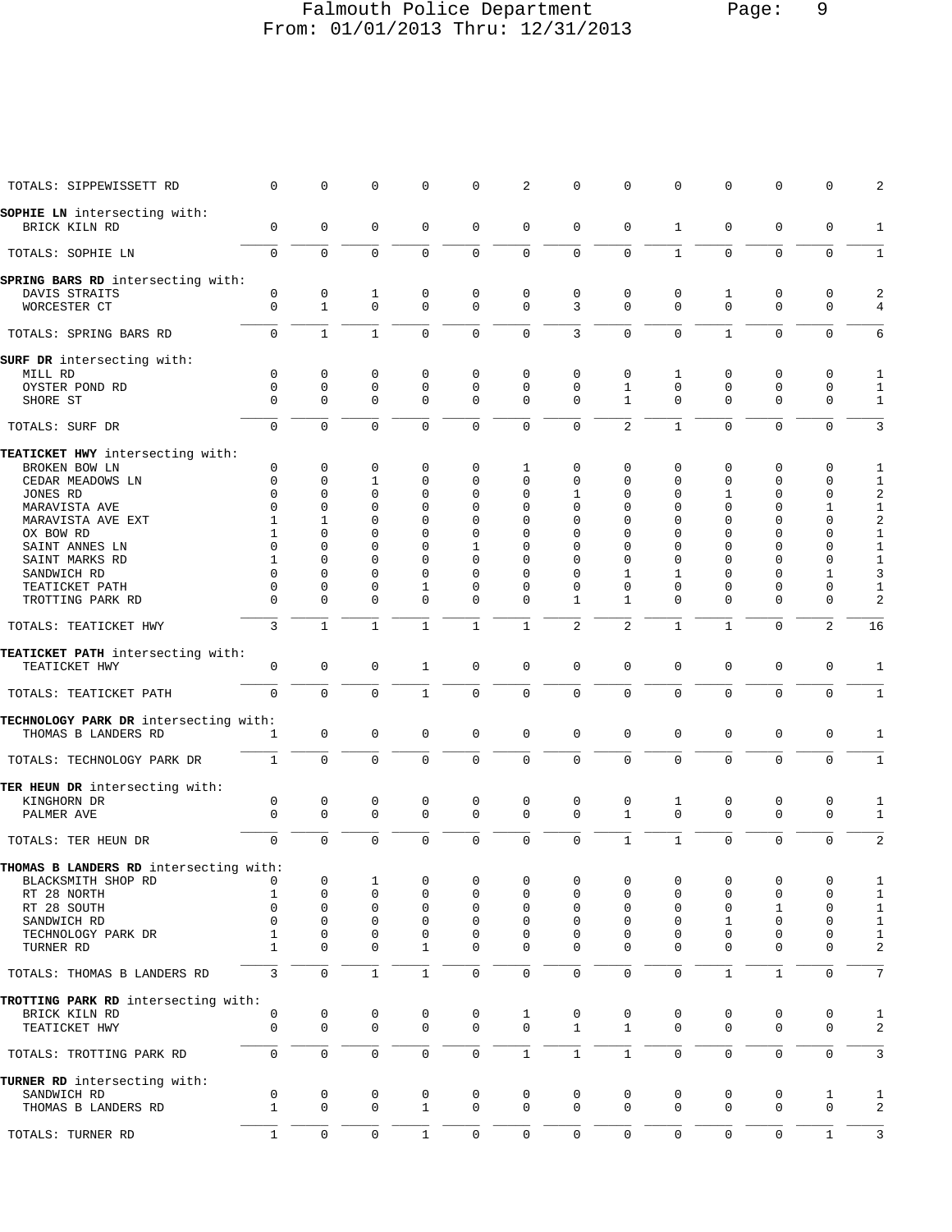### Falmouth Police Department Page: 9 From: 01/01/2013 Thru: 12/31/2013

| TOTALS: SIPPEWISSETT RD                       | $\Omega$                | $\mathbf{0}$               | $\mathbf 0$          | $\Omega$             | $\Omega$                | 2                    | 0             | $\Omega$                    | $\Omega$             | $\Omega$             | 0                       | $\Omega$             | 2                            |
|-----------------------------------------------|-------------------------|----------------------------|----------------------|----------------------|-------------------------|----------------------|---------------|-----------------------------|----------------------|----------------------|-------------------------|----------------------|------------------------------|
| SOPHIE LN intersecting with:<br>BRICK KILN RD | $\mathbf 0$             | $\mathbf 0$                | 0                    | $\mathbf 0$          | 0                       | 0                    | $\mathbf 0$   | $\mathbf 0$                 | 1                    | $\mathbf 0$          | $\mathbf 0$             | 0                    | 1                            |
| TOTALS: SOPHIE LN                             | $\mathbf 0$             | $\Omega$                   | $\Omega$             | $\Omega$             | $\Omega$                | $\mathbf 0$          | $\mathbf 0$   | $\mathbf 0$                 | $\mathbf{1}$         | $\Omega$             | $\Omega$                | $\mathbf 0$          | 1                            |
| SPRING BARS RD intersecting with:             |                         |                            |                      |                      |                         |                      |               |                             |                      |                      |                         |                      |                              |
| DAVIS STRAITS                                 | $\mathbf 0$             | $\mathsf 0$                | $\mathbf 1$          | $\mathbf 0$          | $\mathbf 0$             | $\mathbf 0$          | $\mathbf 0$   | $\mathbf 0$                 | $\Omega$             | 1                    | $\mathbf 0$             | $\mathbf 0$          | $\overline{a}$               |
| WORCESTER CT                                  | $\mathbf 0$             | $\mathbf{1}$               | $\Omega$             | $\Omega$             | $\mathbf 0$             | $\Omega$             | 3             | $\Omega$                    | $\Omega$             | $\Omega$             | $\Omega$                | $\Omega$             | $\overline{4}$               |
| TOTALS: SPRING BARS RD                        | $\Omega$                | $\mathbf{1}$               | $\mathbf{1}$         | $\Omega$             | $\Omega$                | $\Omega$             | 3             | $\Omega$                    | $\Omega$             | $\mathbf{1}$         | $\Omega$                | $\Omega$             | 6                            |
| SURF DR intersecting with:                    |                         |                            |                      |                      |                         |                      | $\mathbf 0$   |                             |                      |                      |                         |                      |                              |
| MILL RD<br>OYSTER POND RD                     | $\mathbf 0$<br>$\Omega$ | $\mathsf 0$<br>$\mathbf 0$ | 0<br>$\mathbf 0$     | 0<br>$\mathbf 0$     | $\mathbf 0$<br>$\Omega$ | 0<br>$\Omega$        | $\Omega$      | $\mathbf 0$<br>$\mathbf{1}$ | 1<br>$\Omega$        | 0<br>$\Omega$        | $\mathbf 0$<br>$\Omega$ | 0<br>$\Omega$        | 1<br>$\mathbf{1}$            |
| SHORE ST                                      | $\Omega$                | $\Omega$                   | $\Omega$             | $\Omega$             | $\Omega$                | $\Omega$             | $\Omega$      | $\mathbf{1}$                | $\Omega$             | $\Omega$             | $\Omega$                | $\Omega$             | $\mathbf{1}$                 |
| TOTALS: SURF DR                               | $\Omega$                | $\Omega$                   | $\Omega$             | $\Omega$             | $\Omega$                | $\Omega$             | $\Omega$      | $\overline{a}$              | $\mathbf{1}$         | $\Omega$             | $\Omega$                | $\Omega$             | 3                            |
| TEATICKET HWY intersecting with:              |                         |                            |                      |                      |                         |                      |               |                             |                      |                      |                         |                      |                              |
| BROKEN BOW LN                                 | $\mathbf 0$             | 0                          | 0                    | 0                    | $\mathbf 0$             | 1                    | 0             | 0                           | 0                    | 0                    | 0                       | 0                    | 1                            |
| CEDAR MEADOWS LN                              | $\Omega$                | $\Omega$                   | $\mathbf{1}$         | $\Omega$             | $\Omega$                | $\Omega$             | $\Omega$      | $\Omega$                    | $\Omega$             | $\Omega$             | $\Omega$                | $\Omega$             | $\mathbf{1}$                 |
| JONES RD                                      | $\Omega$                | $\Omega$                   | $\Omega$             | $\Omega$             | $\Omega$                | $\Omega$             | $\mathbf{1}$  | 0                           | $\Omega$             | $\mathbf{1}$         | $\Omega$                | $\Omega$             | 2                            |
| MARAVISTA AVE                                 | $\Omega$                | $\Omega$                   | $\Omega$             | $\Omega$<br>$\Omega$ | $\Omega$                | $\Omega$             | 0             | $\Omega$                    | $\Omega$             | $\Omega$             | $\Omega$                | $\mathbf{1}$         | $\mathbf{1}$                 |
| MARAVISTA AVE EXT<br>OX BOW RD                | 1<br>$\mathbf{1}$       | $\mathbf{1}$<br>$\Omega$   | $\Omega$<br>$\Omega$ | $\Omega$             | $\Omega$<br>$\Omega$    | $\Omega$<br>$\Omega$ | $\Omega$<br>0 | $\Omega$<br>$\Omega$        | $\Omega$<br>$\Omega$ | $\Omega$<br>$\Omega$ | $\Omega$<br>$\Omega$    | $\Omega$<br>$\Omega$ | $\sqrt{2}$<br>$\mathbf{1}$   |
| SAINT ANNES LN                                | $\Omega$                | $\Omega$                   | $\Omega$             | $\Omega$             | $\mathbf{1}$            | $\Omega$             | $\Omega$      | $\Omega$                    | $\Omega$             | $\Omega$             | $\Omega$                | $\Omega$             | $\mathbf{1}$                 |
| SAINT MARKS RD                                | $\mathbf{1}$            | $\Omega$                   | $\Omega$             | $\Omega$             | $\Omega$                | $\Omega$             | $\Omega$      | $\Omega$                    | $\Omega$             | $\Omega$             | $\Omega$                | $\Omega$             | $\mathbf{1}$                 |
| SANDWICH RD                                   | $\Omega$                | $\Omega$                   | $\Omega$             | $\Omega$             | $\Omega$                | $\Omega$             | $\Omega$      | $\mathbf{1}$                | $\mathbf{1}$         | $\Omega$             | $\Omega$                | $\mathbf{1}$         | 3                            |
| TEATICKET PATH                                | $\Omega$                | $\Omega$                   | $\Omega$             | $\mathbf{1}$         | $\Omega$                | $\Omega$             | $\Omega$      | $\Omega$                    | $\Omega$             | $\Omega$             | $\Omega$                | 0                    | $\mathbf{1}$                 |
| TROTTING PARK RD                              | $\Omega$                | $\Omega$                   | $\Omega$             | $\Omega$             | $\Omega$                | $\Omega$             | $\mathbf{1}$  | $\mathbf{1}$                | $\Omega$             | $\Omega$             | $\Omega$                | $\Omega$             | $\overline{2}$               |
| TOTALS: TEATICKET HWY                         | 3                       | $\mathbf{1}$               | $\mathbf{1}$         | $\mathbf{1}$         | $\mathbf{1}$            | $\mathbf{1}$         | 2             | 2                           | $\mathbf{1}$         | $\mathbf{1}$         | $\Omega$                | 2                    | 16                           |
| TEATICKET PATH intersecting with:             |                         |                            |                      |                      |                         |                      |               |                             |                      |                      |                         |                      |                              |
| TEATICKET HWY                                 | $\mathbf 0$             | $\mathbf{0}$               | $\mathbf 0$          | $\mathbf{1}$         | $\mathbf 0$             | $\mathbf 0$          | $\mathbf 0$   | $\mathbf 0$                 | $\Omega$             | $\mathbf 0$          | $\mathbf 0$             | $\mathbf 0$          | 1                            |
| TOTALS: TEATICKET PATH                        | $\Omega$                | $\Omega$                   | $\mathbf 0$          | $\mathbf{1}$         | $\Omega$                | $\mathbf 0$          | $\mathbf 0$   | $\Omega$                    | $\Omega$             | $\Omega$             | $\Omega$                | $\Omega$             | $\mathbf{1}$                 |
| TECHNOLOGY PARK DR intersecting with:         |                         |                            |                      |                      |                         |                      |               |                             |                      |                      |                         |                      |                              |
| THOMAS B LANDERS RD                           | $\mathbf{1}$            | $\mathbf 0$                | 0                    | $\mathbf 0$          | 0                       | 0                    | 0             | $\mathbf 0$                 | $\mathbf 0$          | $\mathbf 0$          | $\mathbf 0$             | $\mathbf 0$          | 1                            |
| TOTALS: TECHNOLOGY PARK DR                    | $\mathbf{1}$            | $\Omega$                   | $\Omega$             | $\Omega$             | $\Omega$                | $\Omega$             | $\Omega$      | $\Omega$                    | $\Omega$             | $\Omega$             | $\Omega$                | $\Omega$             | $\mathbf{1}$                 |
| TER HEUN DR intersecting with:                |                         |                            |                      |                      |                         |                      |               |                             |                      |                      |                         |                      |                              |
| KINGHORN DR                                   | 0                       | $\mathbf 0$                | 0                    | 0                    | 0                       | 0                    | 0             | $\mathbf 0$                 | 1                    | $\mathbf 0$          | 0                       | 0                    | 1                            |
| PALMER AVE                                    | $\Omega$                | $\Omega$                   | $\Omega$             | $\Omega$             | $\Omega$                | $\Omega$             | $\Omega$      | $\mathbf{1}$                | $\Omega$             | $\Omega$             | $\Omega$                | $\Omega$             | $\mathbf{1}$                 |
| TOTALS: TER HEUN DR                           | $\mathbf 0$             | $\Omega$                   | $\mathbf 0$          | $\Omega$             | $\Omega$                | $\Omega$             | $\mathbf 0$   | $1\,$                       | $\mathbf{1}$         | $\Omega$             | $\Omega$                | $\Omega$             | $\overline{2}$               |
| THOMAS B LANDERS RD intersecting with:        |                         |                            |                      |                      |                         |                      |               |                             |                      |                      |                         |                      |                              |
| BLACKSMITH SHOP RD                            |                         | 0                          | 1                    | 0                    | 0<br>$\mathbf 0$        | 0<br>0               | 0             | 0<br>0                      | 0                    | 0                    | 0                       | 0<br>0               | 1                            |
| RT 28 NORTH<br>RT 28 SOUTH                    | 1<br>0                  | 0<br>$\mathbf{0}$          | 0<br>0               | 0<br>0               | $\mathbf 0$             | 0                    | 0<br>0        | 0                           | 0<br>$\Omega$        | 0<br>0               | 0<br>1                  | 0                    | $\mathbf{1}$<br>$\mathbf{1}$ |
| SANDWICH RD                                   | 0                       | $\mathbf 0$                | 0                    | $\mathbf 0$          | $\mathbf 0$             | $\mathbf 0$          | 0             | 0                           | 0                    | 1                    | 0                       | $\mathbf 0$          | $\mathbf{1}$                 |
| TECHNOLOGY PARK DR                            | 1                       | 0                          | 0                    | 0                    | 0                       | 0                    | 0             | 0                           | 0                    | $\mathbf 0$          | 0                       | 0                    | $1\,$                        |
| TURNER RD                                     | $\mathbf{1}$            | $\mathbf{0}$               | $\Omega$             | $\mathbf{1}$         | $\mathbf 0$             | 0                    | $\mathbf 0$   | $\Omega$                    | $\Omega$             | $\Omega$             | $\Omega$                | $\Omega$             | 2                            |
| TOTALS: THOMAS B LANDERS RD                   | 3                       | $\mathbf 0$                | $\mathbf 1$          | $\mathbf{1}$         | $\mathbf 0$             | 0                    | $\mathsf 0$   | $\mathbf 0$                 | $\Omega$             | 1                    | $\mathbf{1}$            | $\mathbf 0$          | 7                            |
| TROTTING PARK RD intersecting with:           |                         |                            |                      |                      |                         |                      |               |                             |                      |                      |                         |                      |                              |
| BRICK KILN RD                                 | 0                       | 0                          | 0                    | 0                    | 0                       | $\mathbf 1$          | 0             | 0                           | 0                    | 0                    | 0                       | 0                    | 1                            |
| TEATICKET HWY                                 | 0                       | $\mathsf{O}$               | 0                    | $\mathsf{O}$         | $\mathbf 0$             | 0                    | $\mathbf{1}$  | $\mathbf{1}$                | $\Omega$             | $\mathbf 0$          | 0                       | $\mathbf 0$          | 2                            |
| TOTALS: TROTTING PARK RD                      | 0                       | $\mathsf{O}$               | 0                    | $\mathbf 0$          | $\mathbf 0$             | $\mathbf{1}$         | $1\,$         | $1\,$                       | $\mathsf{O}\xspace$  | $\mathbf 0$          | $\mathbf 0$             | $\mathsf 0$          | 3                            |
| TURNER RD intersecting with:                  |                         |                            |                      |                      |                         |                      |               |                             |                      |                      |                         |                      |                              |
| SANDWICH RD                                   | 0                       | 0                          | 0                    | 0                    | 0                       | 0                    | 0             | 0                           | 0                    | 0                    | 0                       | 1                    | $\mathbf{1}$                 |
| THOMAS B LANDERS RD                           | $\mathbf{1}$            | $\mathbf 0$                | $\mathbf 0$          | $\mathbf{1}$         | $\mathbf 0$             | 0                    | $\mathbf 0$   | $\mathbf 0$                 | $\mathbf 0$          | $\mathbf 0$          | $\mathbf{0}$            | $\mathbf 0$          | 2                            |
| TOTALS: TURNER RD                             | $\mathbf{1}$            | $\mathsf{O}\xspace$        | $\mathsf 0$          | $\mathbf{1}$         | $\mathsf{O}\xspace$     | $\mathsf{O}$         | $\mathbf 0$   | $\mathsf 0$                 | $\mathbf 0$          | 0                    | $\mathsf{O}\xspace$     | $\mathbf 1$          | $\mathbf{3}$                 |
|                                               |                         |                            |                      |                      |                         |                      |               |                             |                      |                      |                         |                      |                              |